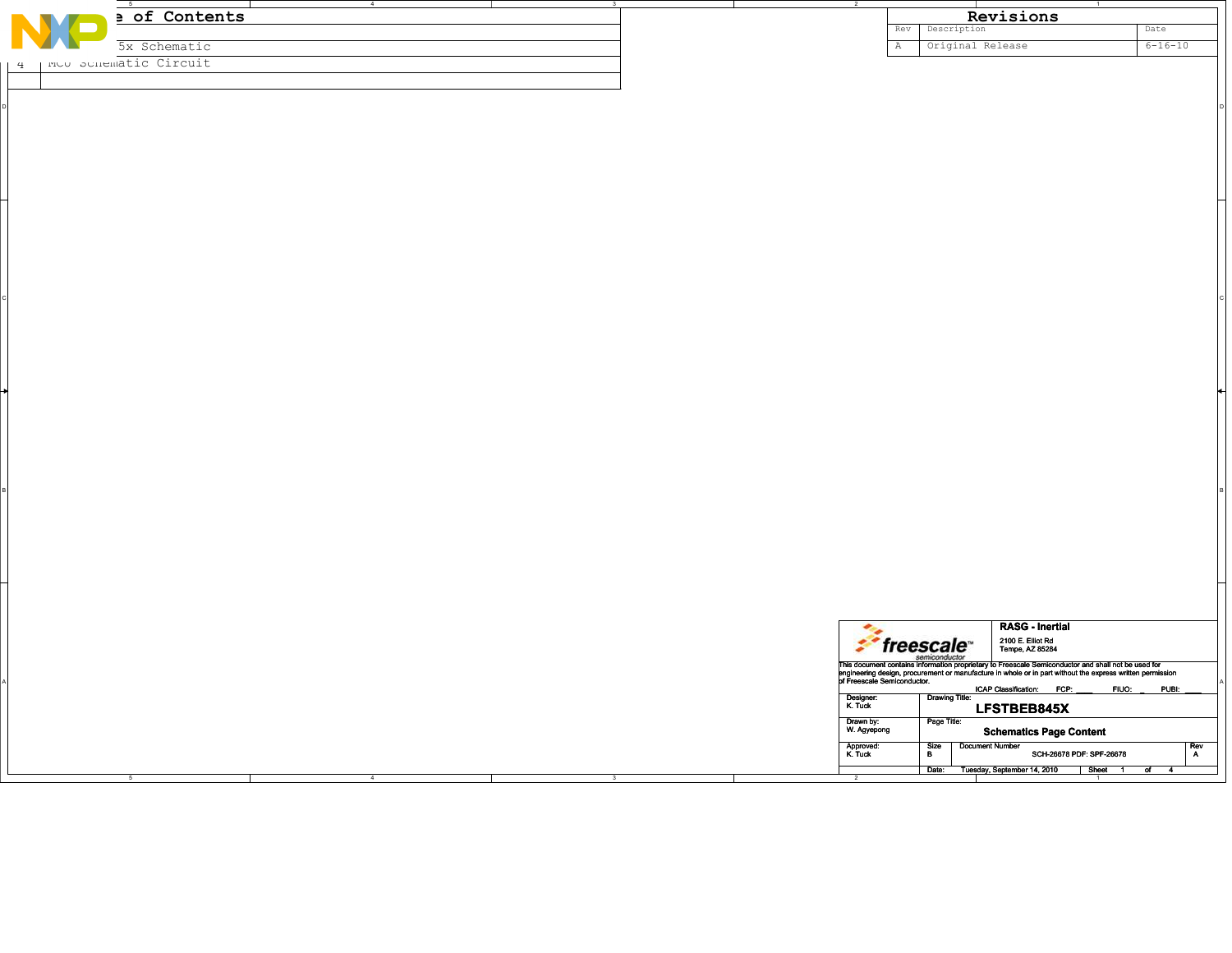|   |                         | 4    |                         |                          |                |                                                                                                                                                                                                                                      |                |
|---|-------------------------|------|-------------------------|--------------------------|----------------|--------------------------------------------------------------------------------------------------------------------------------------------------------------------------------------------------------------------------------------|----------------|
|   | a of Contents           |      |                         |                          |                | Revisions                                                                                                                                                                                                                            |                |
|   |                         |      |                         |                          | Rev            | Description                                                                                                                                                                                                                          | Date           |
|   | 5x Schematic            |      |                         |                          | $\overline{A}$ | Original Release                                                                                                                                                                                                                     | $6 - 16 - 10$  |
| 4 | I MUU SUHEMAtic Circuit |      |                         |                          |                |                                                                                                                                                                                                                                      |                |
|   |                         |      |                         |                          |                |                                                                                                                                                                                                                                      |                |
|   |                         |      |                         |                          |                |                                                                                                                                                                                                                                      |                |
|   |                         |      |                         |                          |                |                                                                                                                                                                                                                                      |                |
|   |                         |      |                         |                          |                |                                                                                                                                                                                                                                      |                |
|   |                         |      |                         |                          |                |                                                                                                                                                                                                                                      |                |
|   |                         |      |                         |                          |                |                                                                                                                                                                                                                                      |                |
|   |                         |      |                         |                          |                |                                                                                                                                                                                                                                      |                |
|   |                         |      |                         |                          |                |                                                                                                                                                                                                                                      |                |
|   |                         |      |                         |                          |                |                                                                                                                                                                                                                                      |                |
|   |                         |      |                         |                          |                |                                                                                                                                                                                                                                      |                |
|   |                         |      |                         |                          |                |                                                                                                                                                                                                                                      |                |
|   |                         |      |                         |                          |                |                                                                                                                                                                                                                                      |                |
|   |                         |      |                         |                          |                |                                                                                                                                                                                                                                      |                |
|   |                         |      |                         |                          |                |                                                                                                                                                                                                                                      |                |
|   |                         |      |                         |                          |                |                                                                                                                                                                                                                                      |                |
|   |                         |      |                         |                          |                |                                                                                                                                                                                                                                      |                |
|   |                         |      |                         |                          |                |                                                                                                                                                                                                                                      |                |
|   |                         |      |                         |                          |                |                                                                                                                                                                                                                                      |                |
|   |                         |      |                         |                          |                |                                                                                                                                                                                                                                      |                |
|   |                         |      |                         |                          |                |                                                                                                                                                                                                                                      |                |
|   |                         |      |                         |                          |                |                                                                                                                                                                                                                                      |                |
|   |                         |      |                         |                          |                |                                                                                                                                                                                                                                      |                |
|   |                         |      |                         |                          |                |                                                                                                                                                                                                                                      |                |
|   |                         |      |                         |                          |                |                                                                                                                                                                                                                                      |                |
|   |                         |      |                         |                          |                |                                                                                                                                                                                                                                      |                |
|   |                         |      |                         |                          |                |                                                                                                                                                                                                                                      |                |
|   |                         |      |                         |                          |                |                                                                                                                                                                                                                                      |                |
|   |                         |      |                         |                          |                |                                                                                                                                                                                                                                      |                |
|   |                         |      |                         |                          |                |                                                                                                                                                                                                                                      |                |
|   |                         |      |                         |                          |                |                                                                                                                                                                                                                                      |                |
|   |                         |      |                         |                          |                |                                                                                                                                                                                                                                      |                |
|   |                         |      |                         |                          |                |                                                                                                                                                                                                                                      |                |
|   |                         |      |                         |                          |                |                                                                                                                                                                                                                                      |                |
|   |                         |      |                         |                          |                |                                                                                                                                                                                                                                      |                |
|   |                         |      |                         |                          |                |                                                                                                                                                                                                                                      |                |
|   |                         |      |                         |                          |                |                                                                                                                                                                                                                                      |                |
|   |                         |      |                         |                          |                |                                                                                                                                                                                                                                      |                |
|   |                         |      |                         |                          |                | <b>RASG - Inertial</b><br>$\frac{1}{2}$ freescale                                                                                                                                                                                    |                |
|   |                         |      |                         |                          |                | 2100 E. Elliot Rd<br>Tempe, AZ 85284                                                                                                                                                                                                 |                |
|   |                         |      |                         |                          |                |                                                                                                                                                                                                                                      |                |
|   |                         |      |                         |                          |                | Finis document contains information proprietary to Freescale Semiconductor<br>This document contains information proprietary to Freescale Semiconductor and shall not be used for<br>princering design, procurement or manufacture i |                |
|   |                         |      |                         |                          |                | ICAP Classification: FCP:                                                                                                                                                                                                            | FIUO:<br>PUBI: |
|   |                         |      |                         | Designer:<br>K. Tuck     |                | Drawing Title:<br>LFSTBEB845X                                                                                                                                                                                                        |                |
|   |                         |      |                         | Drawn by:<br>W. Agyepong |                | Page Title:                                                                                                                                                                                                                          |                |
|   |                         |      |                         |                          |                | <b>Schematics Page Content</b>                                                                                                                                                                                                       |                |
|   |                         |      |                         | Approved:<br>K. Tuck     |                | Size<br>B<br><b>Document Number</b><br>SCH-26678 PDF: SPF-26678                                                                                                                                                                      | $R$ ev<br>A    |
|   |                         |      |                         |                          |                | Date: Tuesday, September 14, 2010   Sheet 1 of 4                                                                                                                                                                                     |                |
|   | $\overline{5}$          | $-4$ | $\overline{\mathbf{3}}$ | $\overline{2}$           |                |                                                                                                                                                                                                                                      |                |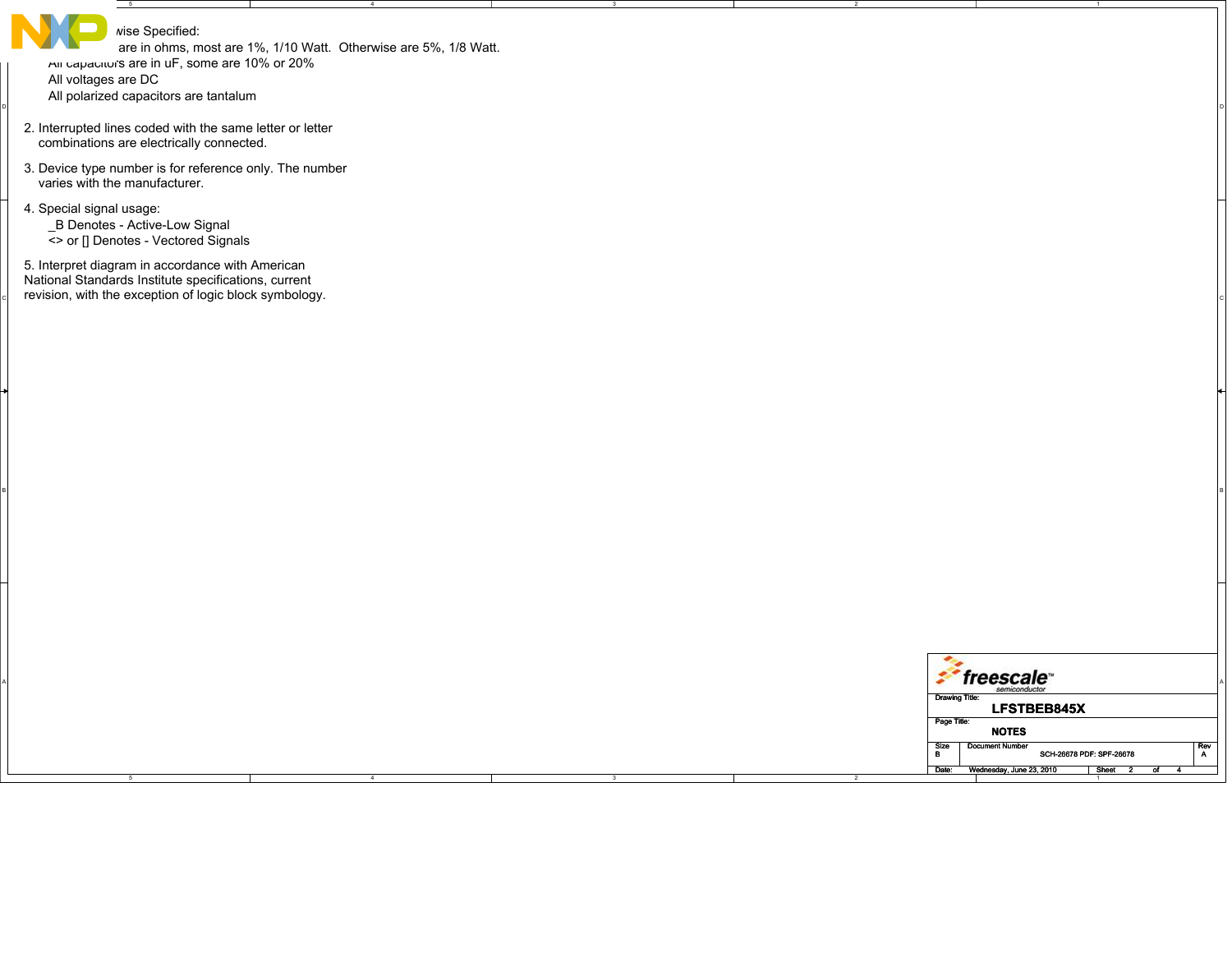| $-5$<br>wise Specified:<br>are in ohms, most are 1%, 1/10 Watt. Otherwise are 5%, 1/8 Watt.<br>All capacitor's are in uF, some are 10% or 20%<br>All voltages are DC<br>All polarized capacitors are tantalum<br>2. Interrupted lines coded with the same letter or letter<br>combinations are electrically connected.<br>3. Device type number is for reference only. The number<br>varies with the manufacturer.<br>4. Special signal usage:<br>_B Denotes - Active-Low Signal<br><> or [] Denotes - Vectored Signals<br>5. Interpret diagram in accordance with American |              |
|-----------------------------------------------------------------------------------------------------------------------------------------------------------------------------------------------------------------------------------------------------------------------------------------------------------------------------------------------------------------------------------------------------------------------------------------------------------------------------------------------------------------------------------------------------------------------------|--------------|
|                                                                                                                                                                                                                                                                                                                                                                                                                                                                                                                                                                             |              |
|                                                                                                                                                                                                                                                                                                                                                                                                                                                                                                                                                                             |              |
|                                                                                                                                                                                                                                                                                                                                                                                                                                                                                                                                                                             |              |
|                                                                                                                                                                                                                                                                                                                                                                                                                                                                                                                                                                             |              |
| National Standards Institute specifications, current<br>revision, with the exception of logic block symbology.                                                                                                                                                                                                                                                                                                                                                                                                                                                              |              |
|                                                                                                                                                                                                                                                                                                                                                                                                                                                                                                                                                                             |              |
|                                                                                                                                                                                                                                                                                                                                                                                                                                                                                                                                                                             |              |
|                                                                                                                                                                                                                                                                                                                                                                                                                                                                                                                                                                             |              |
|                                                                                                                                                                                                                                                                                                                                                                                                                                                                                                                                                                             |              |
|                                                                                                                                                                                                                                                                                                                                                                                                                                                                                                                                                                             |              |
|                                                                                                                                                                                                                                                                                                                                                                                                                                                                                                                                                                             |              |
| $2^{\circ}$ freescale                                                                                                                                                                                                                                                                                                                                                                                                                                                                                                                                                       |              |
| Drawing Title:<br>LFSTBEB845X<br>Page Title:                                                                                                                                                                                                                                                                                                                                                                                                                                                                                                                                |              |
| <b>NOTES</b><br><b>Document Number</b><br>Size<br>SCH-26678 PDF: SPF-26678<br>$\mathbf{B}$<br>Date:<br>Wednesday, June 23, 2010 Sheet 2<br>ল                                                                                                                                                                                                                                                                                                                                                                                                                                | $Rev$<br>$A$ |

4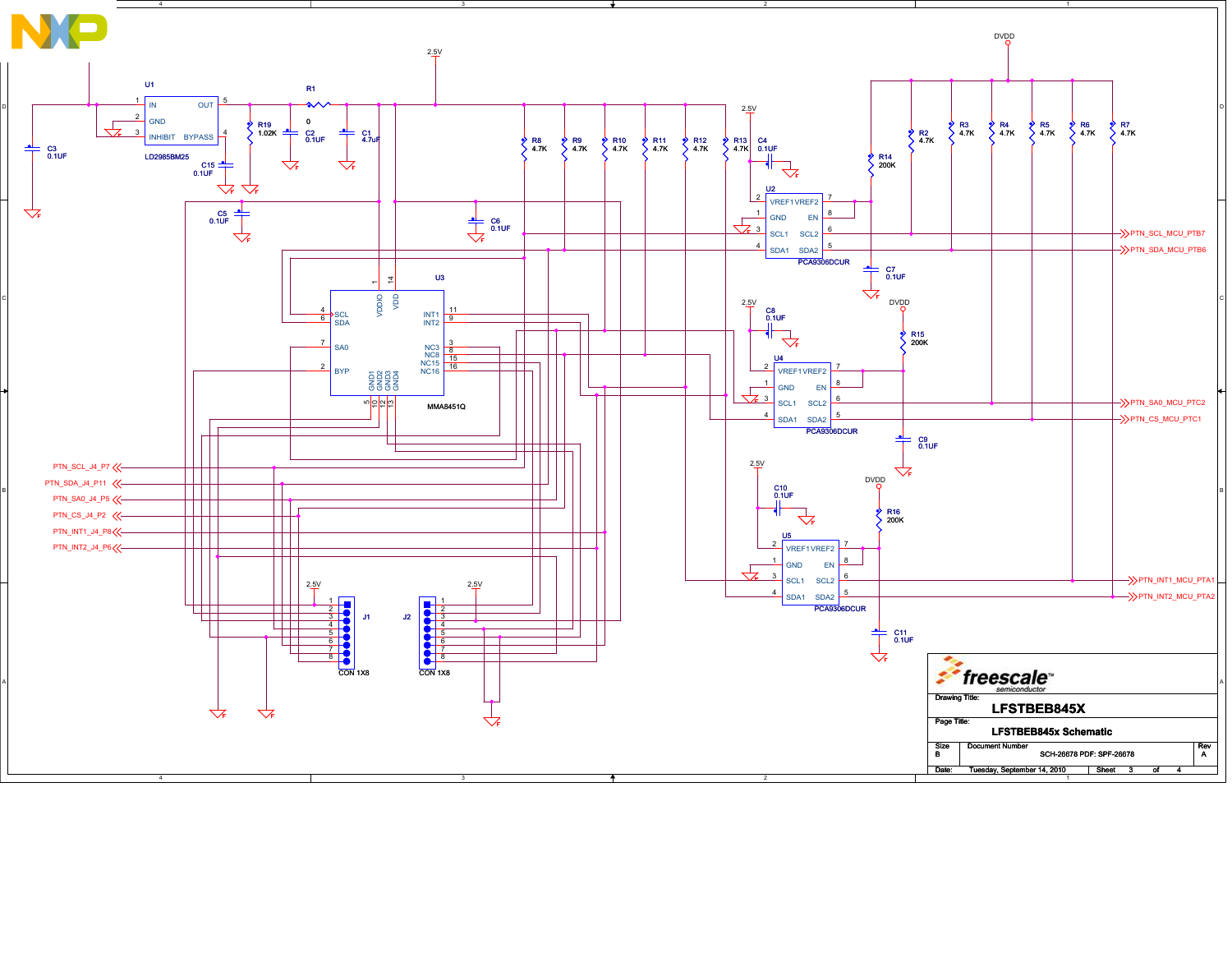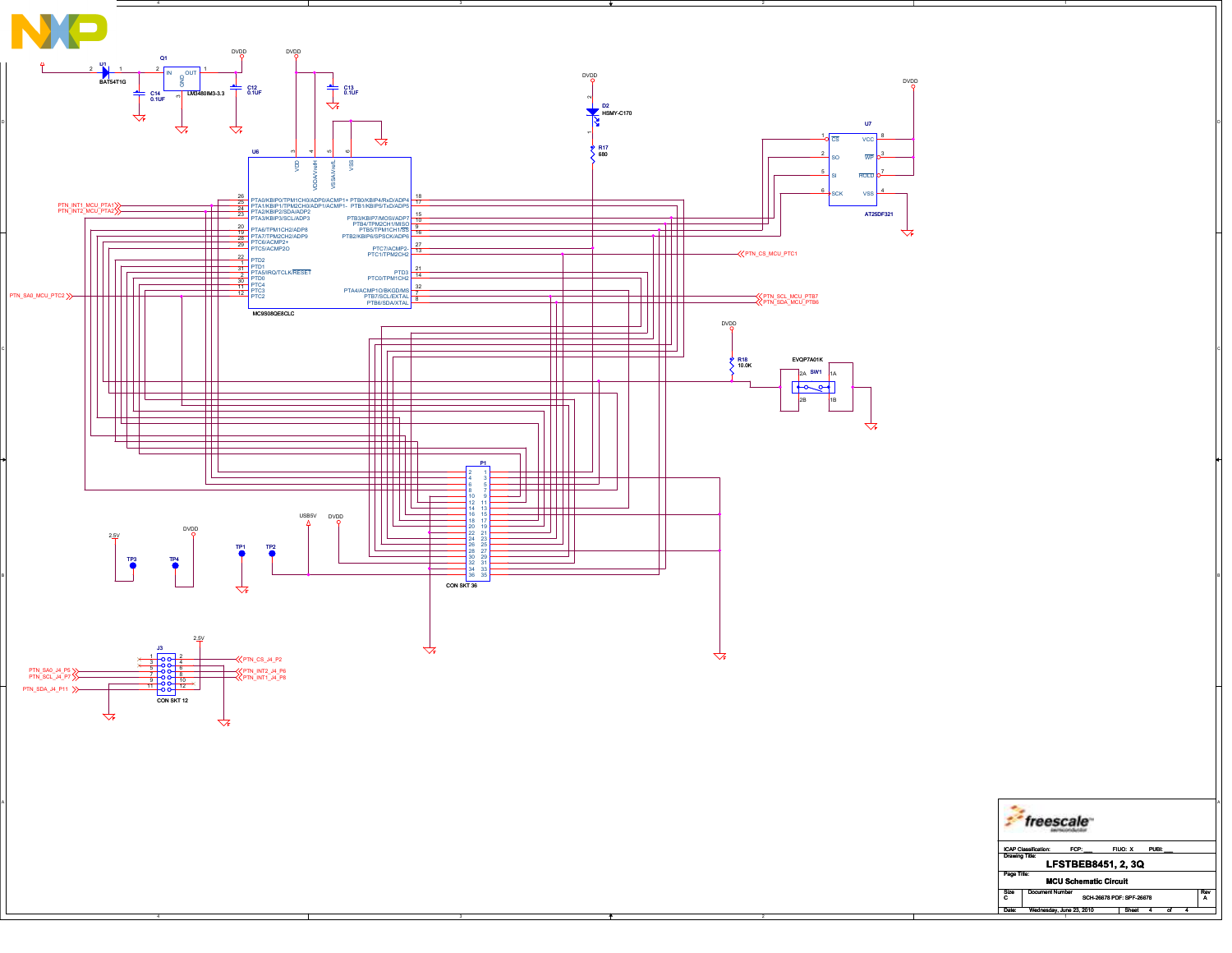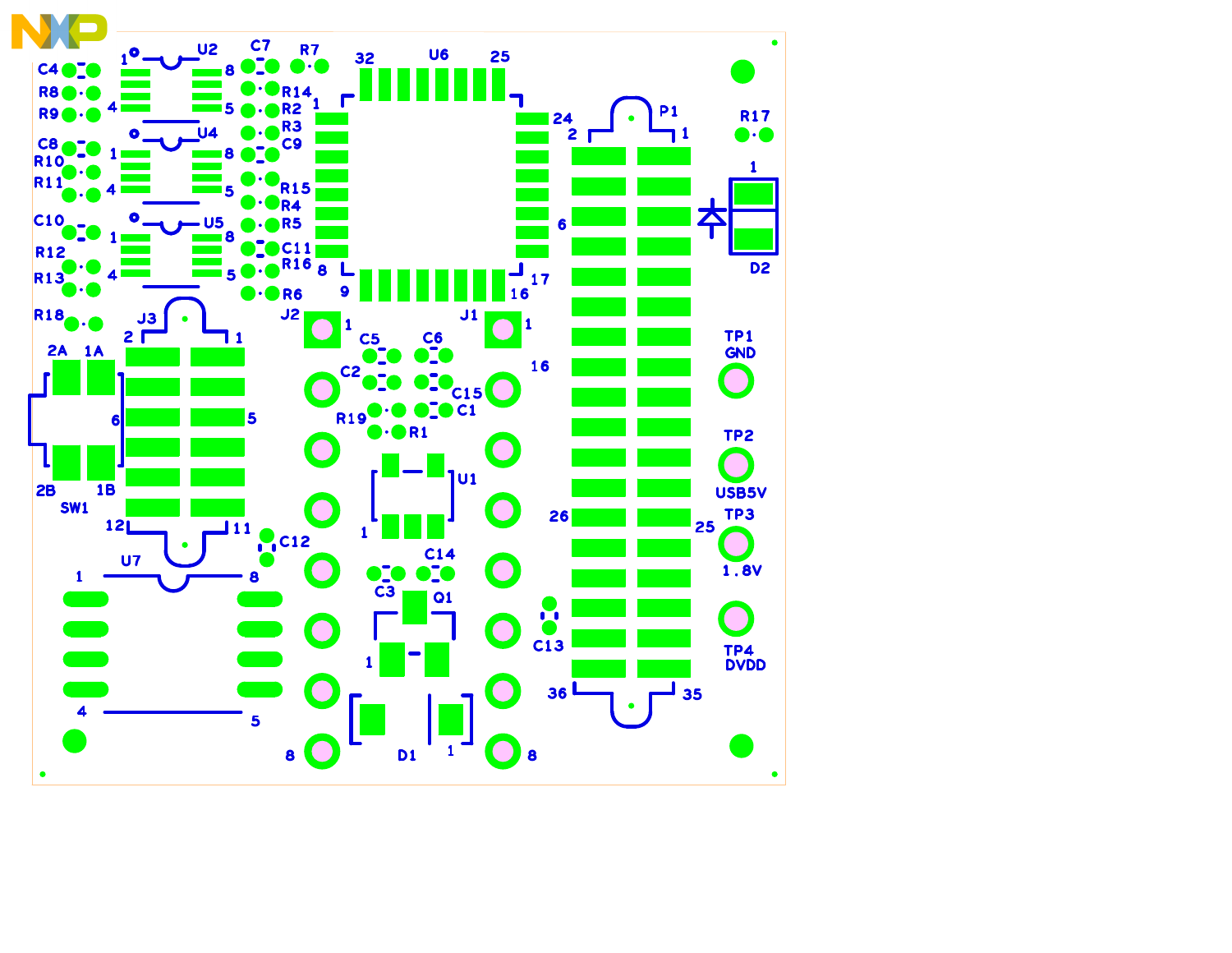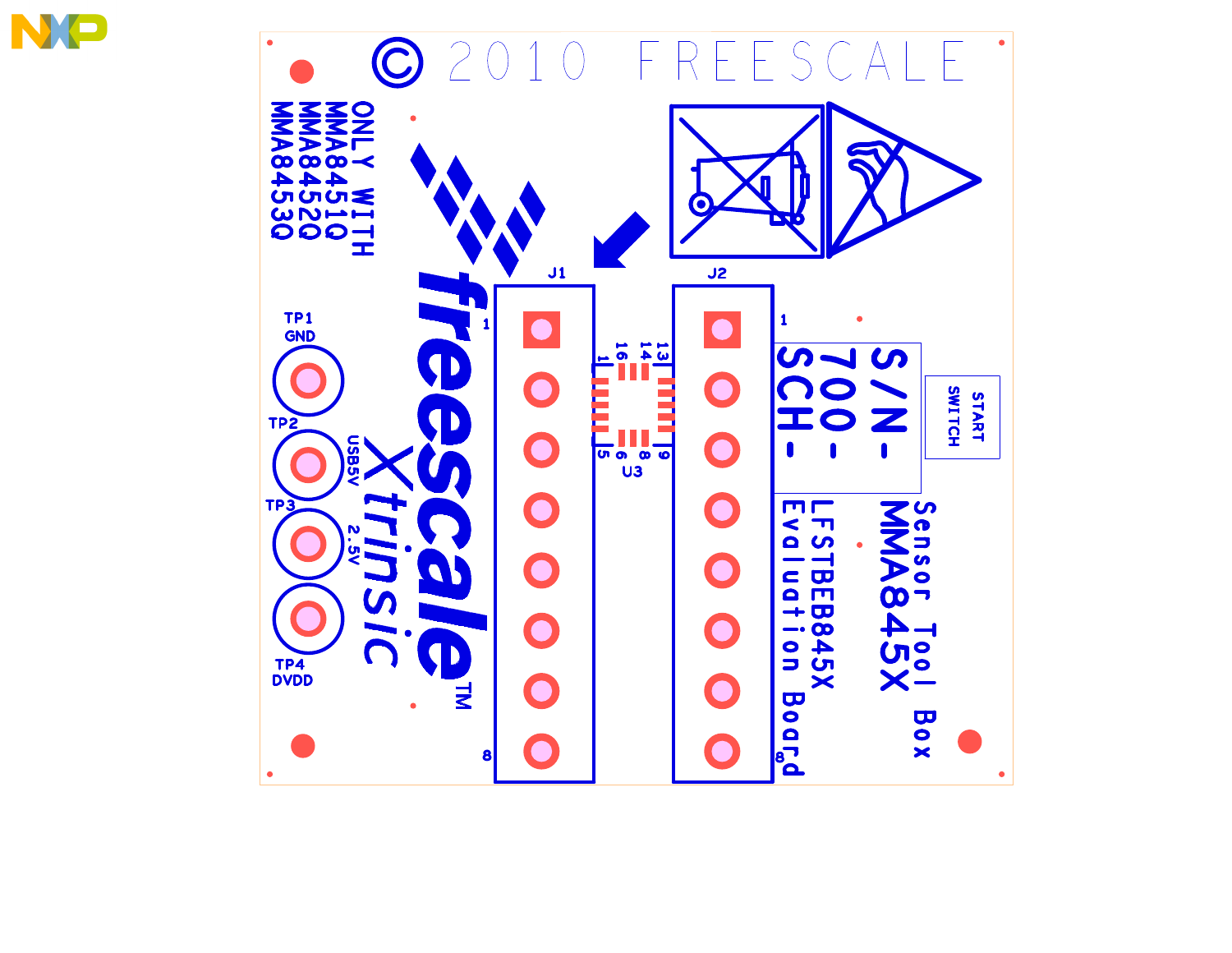

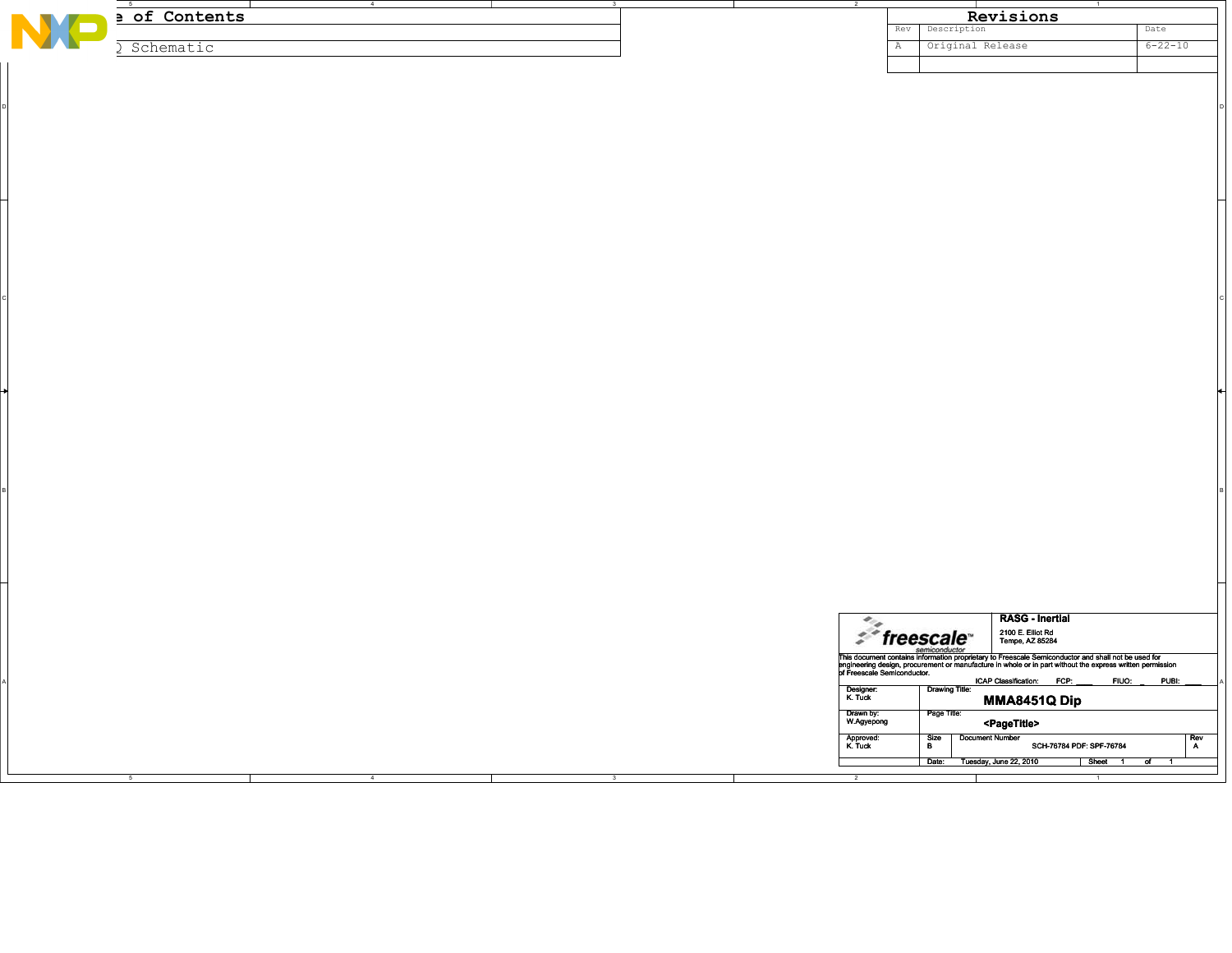|   | $-5$                        | $\sim$ $\sim$ $\sim$ $\sim$ $\sim$ $\sim$ $\sim$ | $\overline{\mathbf{3}}$ |                         |                                  | $\overline{1}$                                                                                                                                                                                                                       |               |
|---|-----------------------------|--------------------------------------------------|-------------------------|-------------------------|----------------------------------|--------------------------------------------------------------------------------------------------------------------------------------------------------------------------------------------------------------------------------------|---------------|
| N | a of Contents               |                                                  |                         |                         |                                  | Revisions                                                                                                                                                                                                                            |               |
|   |                             |                                                  |                         |                         | Description<br>Rev               |                                                                                                                                                                                                                                      | Date          |
|   |                             |                                                  |                         |                         |                                  |                                                                                                                                                                                                                                      |               |
|   | Schematic<br>$\mathfrak{I}$ |                                                  |                         |                         | Original Release<br>$\mathbb{A}$ |                                                                                                                                                                                                                                      | $6 - 22 - 10$ |
|   |                             |                                                  |                         |                         |                                  |                                                                                                                                                                                                                                      |               |
|   |                             |                                                  |                         |                         |                                  |                                                                                                                                                                                                                                      |               |
|   |                             |                                                  |                         |                         |                                  |                                                                                                                                                                                                                                      |               |
|   |                             |                                                  |                         |                         |                                  |                                                                                                                                                                                                                                      |               |
|   |                             |                                                  |                         |                         |                                  |                                                                                                                                                                                                                                      |               |
|   |                             |                                                  |                         |                         |                                  |                                                                                                                                                                                                                                      |               |
|   |                             |                                                  |                         |                         |                                  |                                                                                                                                                                                                                                      |               |
|   |                             |                                                  |                         |                         |                                  |                                                                                                                                                                                                                                      |               |
|   |                             |                                                  |                         |                         |                                  |                                                                                                                                                                                                                                      |               |
|   |                             |                                                  |                         |                         |                                  |                                                                                                                                                                                                                                      |               |
|   |                             |                                                  |                         |                         |                                  |                                                                                                                                                                                                                                      |               |
|   |                             |                                                  |                         |                         |                                  |                                                                                                                                                                                                                                      |               |
|   |                             |                                                  |                         |                         |                                  |                                                                                                                                                                                                                                      |               |
|   |                             |                                                  |                         |                         |                                  |                                                                                                                                                                                                                                      |               |
|   |                             |                                                  |                         |                         |                                  |                                                                                                                                                                                                                                      |               |
|   |                             |                                                  |                         |                         |                                  |                                                                                                                                                                                                                                      |               |
|   |                             |                                                  |                         |                         |                                  |                                                                                                                                                                                                                                      |               |
|   |                             |                                                  |                         |                         |                                  |                                                                                                                                                                                                                                      |               |
|   |                             |                                                  |                         |                         |                                  |                                                                                                                                                                                                                                      |               |
|   |                             |                                                  |                         |                         |                                  |                                                                                                                                                                                                                                      |               |
|   |                             |                                                  |                         |                         |                                  |                                                                                                                                                                                                                                      |               |
|   |                             |                                                  |                         |                         |                                  |                                                                                                                                                                                                                                      |               |
|   |                             |                                                  |                         |                         |                                  |                                                                                                                                                                                                                                      |               |
|   |                             |                                                  |                         |                         |                                  |                                                                                                                                                                                                                                      |               |
|   |                             |                                                  |                         |                         |                                  |                                                                                                                                                                                                                                      |               |
|   |                             |                                                  |                         |                         |                                  |                                                                                                                                                                                                                                      |               |
|   |                             |                                                  |                         |                         |                                  |                                                                                                                                                                                                                                      |               |
|   |                             |                                                  |                         |                         |                                  |                                                                                                                                                                                                                                      |               |
|   |                             |                                                  |                         |                         |                                  |                                                                                                                                                                                                                                      |               |
|   |                             |                                                  |                         |                         |                                  |                                                                                                                                                                                                                                      |               |
|   |                             |                                                  |                         |                         |                                  |                                                                                                                                                                                                                                      |               |
|   |                             |                                                  |                         |                         |                                  |                                                                                                                                                                                                                                      |               |
|   |                             |                                                  |                         |                         |                                  |                                                                                                                                                                                                                                      |               |
|   |                             |                                                  |                         |                         |                                  |                                                                                                                                                                                                                                      |               |
|   |                             |                                                  |                         |                         |                                  |                                                                                                                                                                                                                                      |               |
|   |                             |                                                  |                         |                         |                                  |                                                                                                                                                                                                                                      |               |
|   |                             |                                                  |                         |                         |                                  |                                                                                                                                                                                                                                      |               |
|   |                             |                                                  |                         |                         |                                  |                                                                                                                                                                                                                                      |               |
|   |                             |                                                  |                         |                         |                                  |                                                                                                                                                                                                                                      |               |
|   |                             |                                                  |                         |                         |                                  |                                                                                                                                                                                                                                      |               |
|   |                             |                                                  |                         |                         |                                  |                                                                                                                                                                                                                                      |               |
|   |                             |                                                  |                         |                         |                                  |                                                                                                                                                                                                                                      |               |
|   |                             |                                                  |                         |                         |                                  |                                                                                                                                                                                                                                      |               |
|   |                             |                                                  |                         |                         |                                  |                                                                                                                                                                                                                                      |               |
|   |                             |                                                  |                         |                         |                                  |                                                                                                                                                                                                                                      |               |
|   |                             |                                                  |                         |                         |                                  |                                                                                                                                                                                                                                      |               |
|   |                             |                                                  |                         |                         |                                  |                                                                                                                                                                                                                                      |               |
|   |                             |                                                  |                         |                         |                                  |                                                                                                                                                                                                                                      |               |
|   |                             |                                                  |                         |                         |                                  |                                                                                                                                                                                                                                      |               |
|   |                             |                                                  |                         |                         |                                  |                                                                                                                                                                                                                                      |               |
|   |                             |                                                  |                         |                         |                                  |                                                                                                                                                                                                                                      |               |
|   |                             |                                                  |                         |                         |                                  |                                                                                                                                                                                                                                      |               |
|   |                             |                                                  |                         |                         |                                  |                                                                                                                                                                                                                                      |               |
|   |                             |                                                  |                         |                         |                                  |                                                                                                                                                                                                                                      |               |
|   |                             |                                                  |                         |                         |                                  |                                                                                                                                                                                                                                      |               |
|   |                             |                                                  |                         |                         |                                  |                                                                                                                                                                                                                                      |               |
|   |                             |                                                  |                         |                         |                                  |                                                                                                                                                                                                                                      |               |
|   |                             |                                                  |                         |                         |                                  |                                                                                                                                                                                                                                      |               |
|   |                             |                                                  |                         |                         |                                  |                                                                                                                                                                                                                                      |               |
|   |                             |                                                  |                         |                         |                                  | <b>RASG - Inertial</b>                                                                                                                                                                                                               |               |
|   |                             |                                                  |                         |                         |                                  |                                                                                                                                                                                                                                      |               |
|   |                             |                                                  |                         |                         | $\mathcal{F}$ freescale          | 2100 E. Elliot Rd<br>Tempe, AZ 85284                                                                                                                                                                                                 |               |
|   |                             |                                                  |                         |                         | semiconductor                    |                                                                                                                                                                                                                                      |               |
|   |                             |                                                  |                         |                         |                                  | This document contains information proprietary to Freescale Semiconductor and shall not be used for<br>singlneering design, procurement or manufacture in whole or in part without the expression of Freescale Semiconductor.<br>pri |               |
|   |                             |                                                  |                         |                         |                                  |                                                                                                                                                                                                                                      |               |
|   |                             |                                                  |                         |                         |                                  | ICAP Classification: FCP:<br>FIUO:                                                                                                                                                                                                   | PUBI:         |
|   |                             |                                                  |                         | Designer:<br>K. Tuck    | <b>Drawing Title:</b>            |                                                                                                                                                                                                                                      |               |
|   |                             |                                                  |                         |                         |                                  | <b>MMA8451Q Dip</b>                                                                                                                                                                                                                  |               |
|   |                             |                                                  |                         |                         |                                  |                                                                                                                                                                                                                                      |               |
|   |                             |                                                  |                         | Drawn by:<br>W.Agyepong | Page Title:                      |                                                                                                                                                                                                                                      |               |
|   |                             |                                                  |                         |                         |                                  | <pagetitle></pagetitle>                                                                                                                                                                                                              |               |
|   |                             |                                                  |                         |                         | <b>Document Number</b>           |                                                                                                                                                                                                                                      |               |
|   |                             |                                                  |                         | Approved:<br>K. Tuck    | Size<br>B                        | SCH-76784 PDF: SPF-76784                                                                                                                                                                                                             | Rev<br>A      |
|   |                             |                                                  |                         |                         |                                  |                                                                                                                                                                                                                                      |               |
|   |                             |                                                  |                         |                         | Date: Tuesday, June 22, 2010     | Sheet 1 of 1                                                                                                                                                                                                                         |               |
|   |                             | $\overline{4}$                                   | $\overline{\mathbf{3}}$ |                         |                                  |                                                                                                                                                                                                                                      |               |
|   |                             |                                                  |                         |                         |                                  |                                                                                                                                                                                                                                      |               |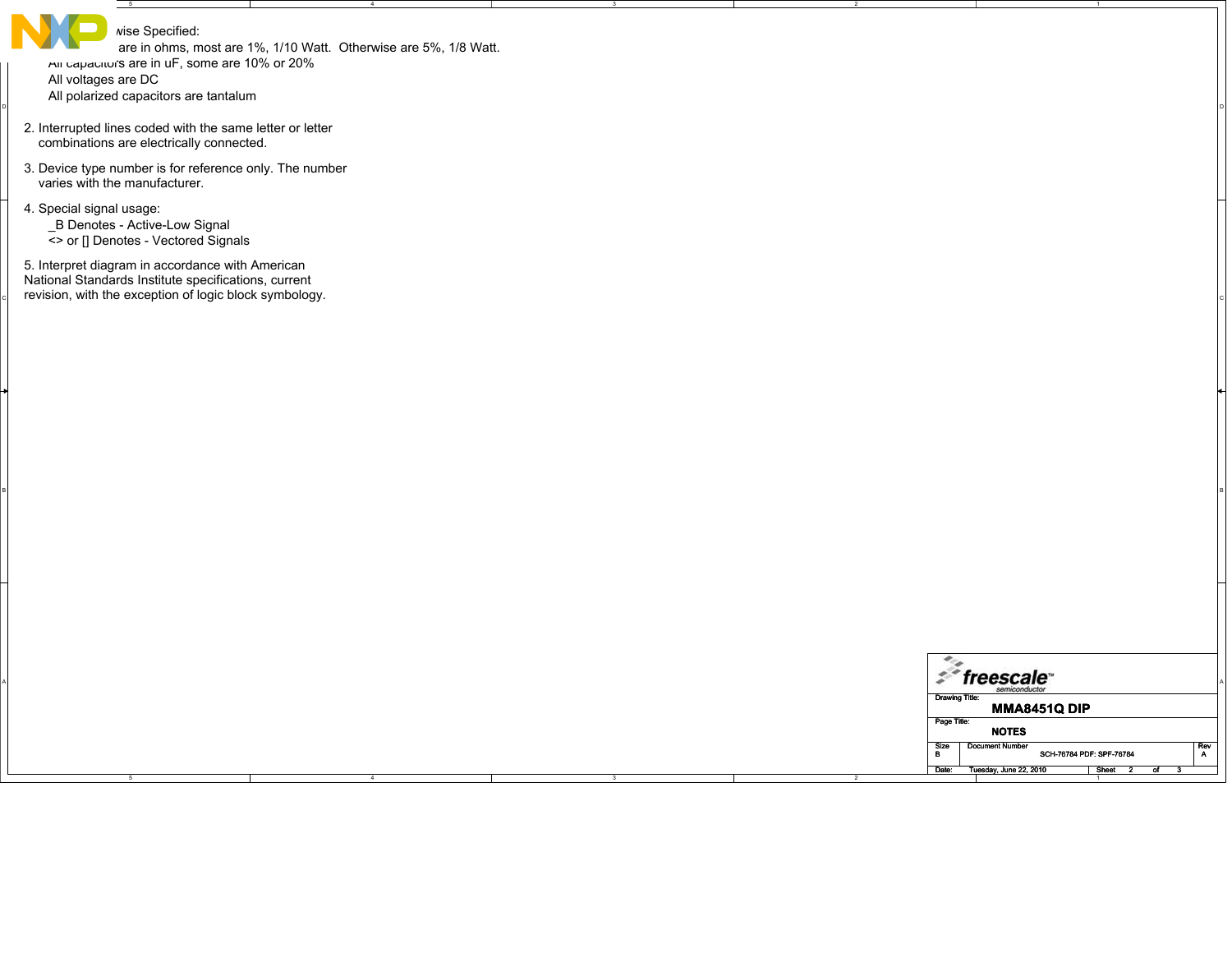| wise Specified:<br>All capacitor's are in uF, some are 10% or 20%<br>All voltages are DC<br>All polarized capacitors are tantalum                                  | are in ohms, most are 1%, 1/10 Watt. Otherwise are 5%, 1/8 Watt. |  |                          |                                                    |             |
|--------------------------------------------------------------------------------------------------------------------------------------------------------------------|------------------------------------------------------------------|--|--------------------------|----------------------------------------------------|-------------|
| 2. Interrupted lines coded with the same letter or letter<br>combinations are electrically connected.                                                              |                                                                  |  |                          |                                                    |             |
| 3. Device type number is for reference only. The number<br>varies with the manufacturer.                                                                           |                                                                  |  |                          |                                                    |             |
| 4. Special signal usage:<br>_B Denotes - Active-Low Signal<br><> or [] Denotes - Vectored Signals                                                                  |                                                                  |  |                          |                                                    |             |
| 5. Interpret diagram in accordance with American<br>National Standards Institute specifications, current<br>revision, with the exception of logic block symbology. |                                                                  |  |                          |                                                    |             |
|                                                                                                                                                                    |                                                                  |  |                          |                                                    |             |
|                                                                                                                                                                    |                                                                  |  |                          |                                                    |             |
|                                                                                                                                                                    |                                                                  |  |                          |                                                    |             |
|                                                                                                                                                                    |                                                                  |  |                          |                                                    |             |
|                                                                                                                                                                    |                                                                  |  |                          |                                                    |             |
|                                                                                                                                                                    |                                                                  |  |                          |                                                    |             |
|                                                                                                                                                                    |                                                                  |  |                          |                                                    |             |
|                                                                                                                                                                    |                                                                  |  | ٠.                       |                                                    |             |
|                                                                                                                                                                    |                                                                  |  | <b>Drawing Title:</b>    | $z^*$ freescale<br><b>MMA8451Q DIP</b>             |             |
|                                                                                                                                                                    |                                                                  |  | Page Title:<br>Size<br>B | <b>NOTES</b><br><b>Document Number</b>             | $R$ ev<br>A |
|                                                                                                                                                                    |                                                                  |  | Date:                    | SCH-76784 PDF: SPF-76784<br>Tuesday, June 22, 2010 | Sheet       |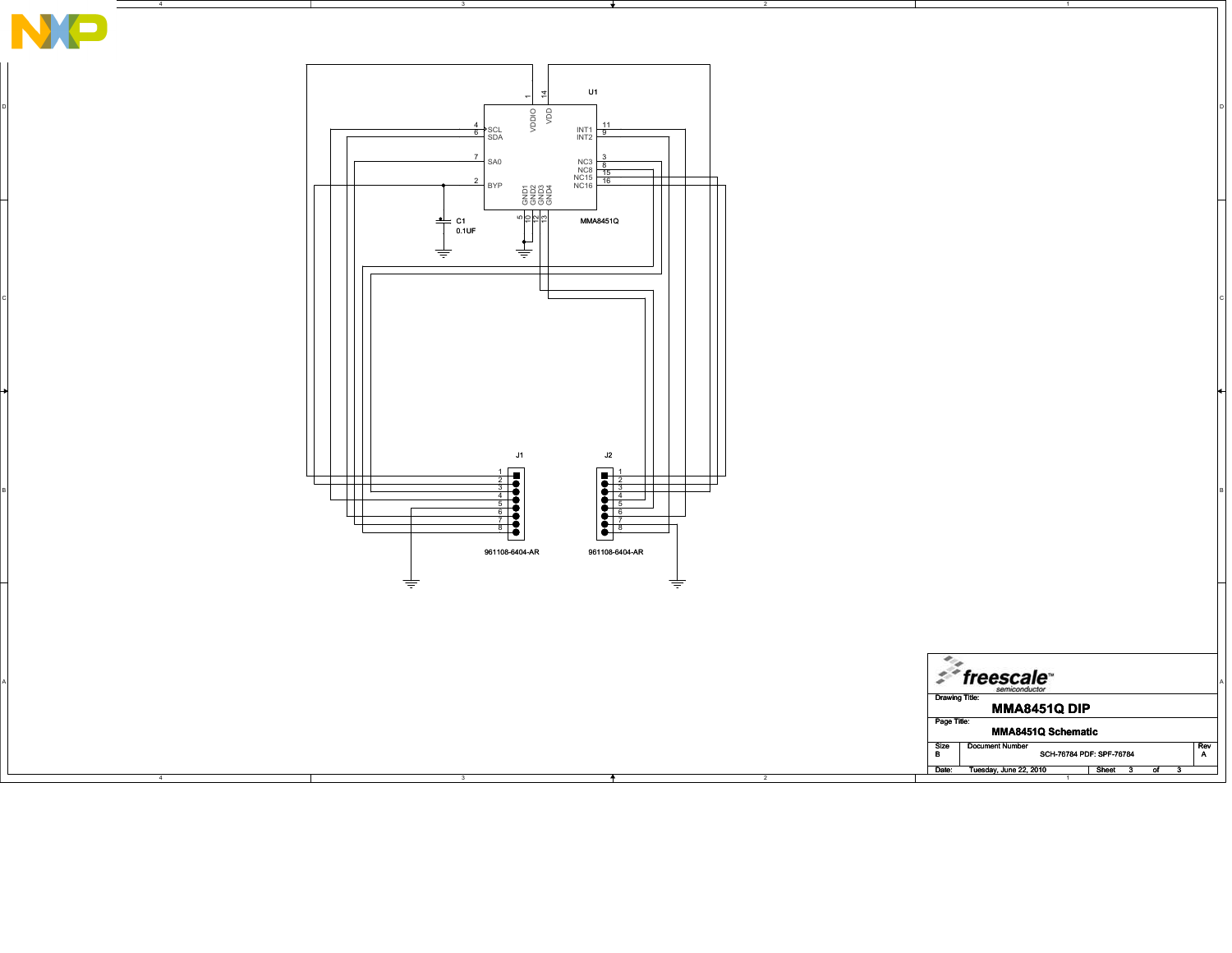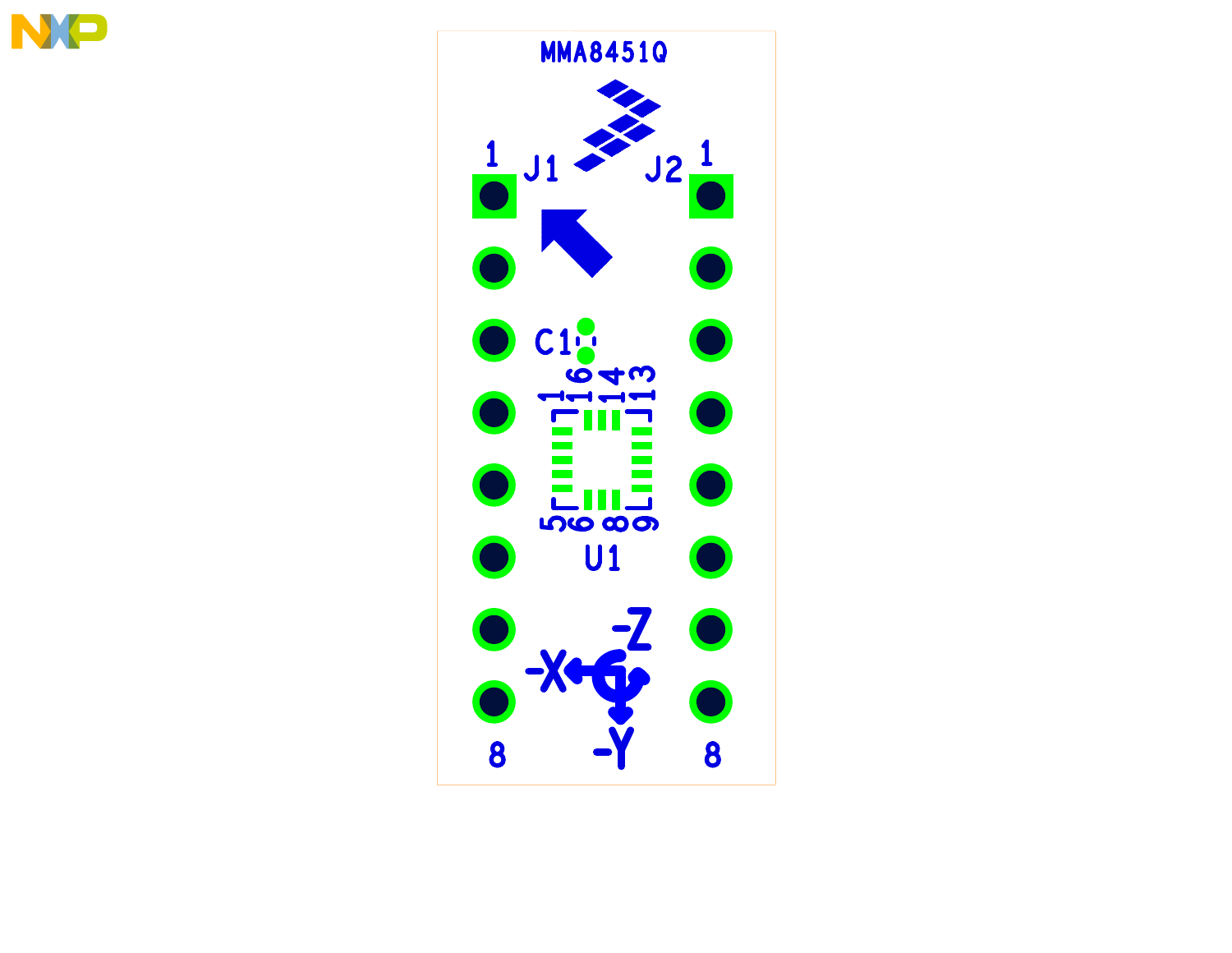

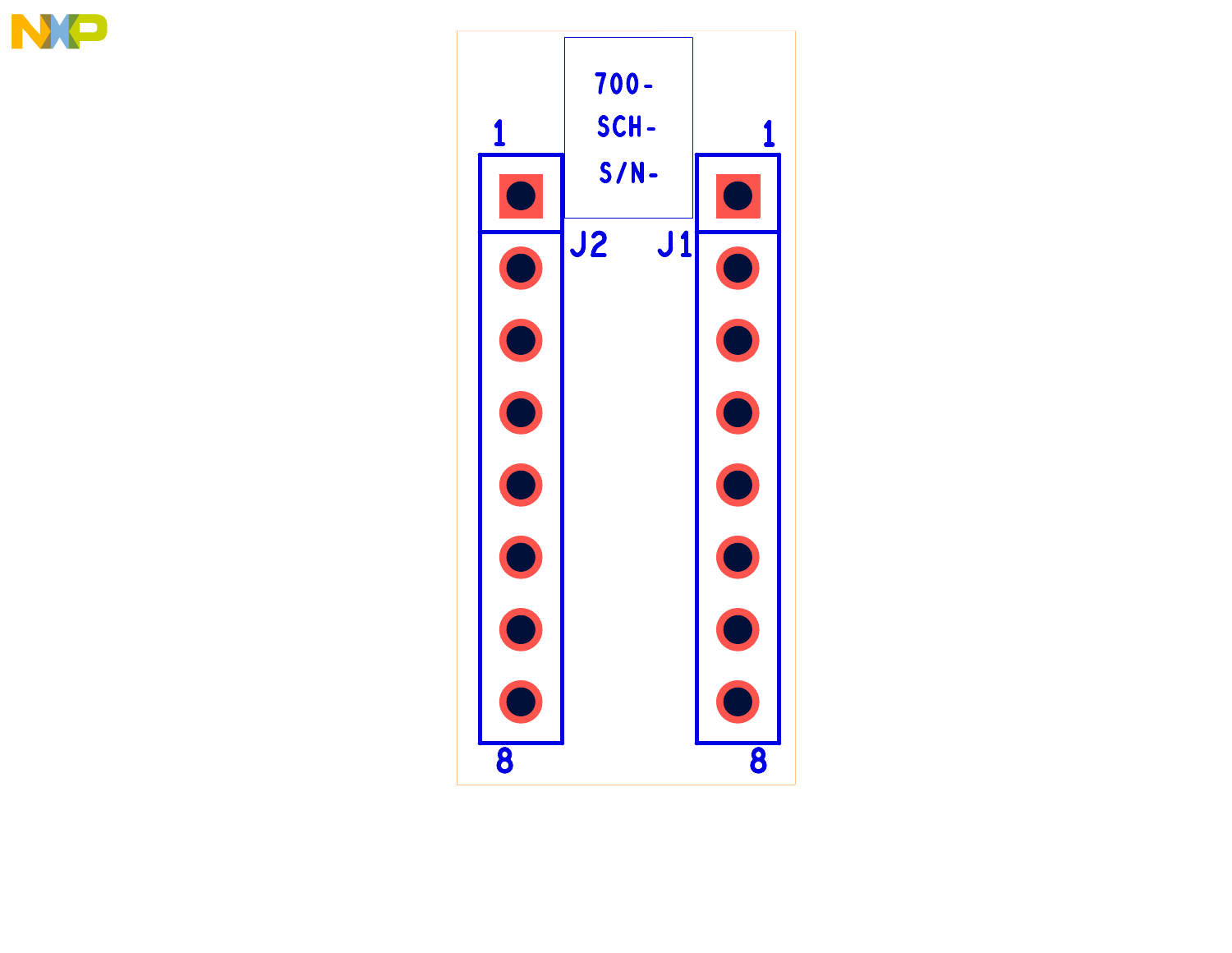

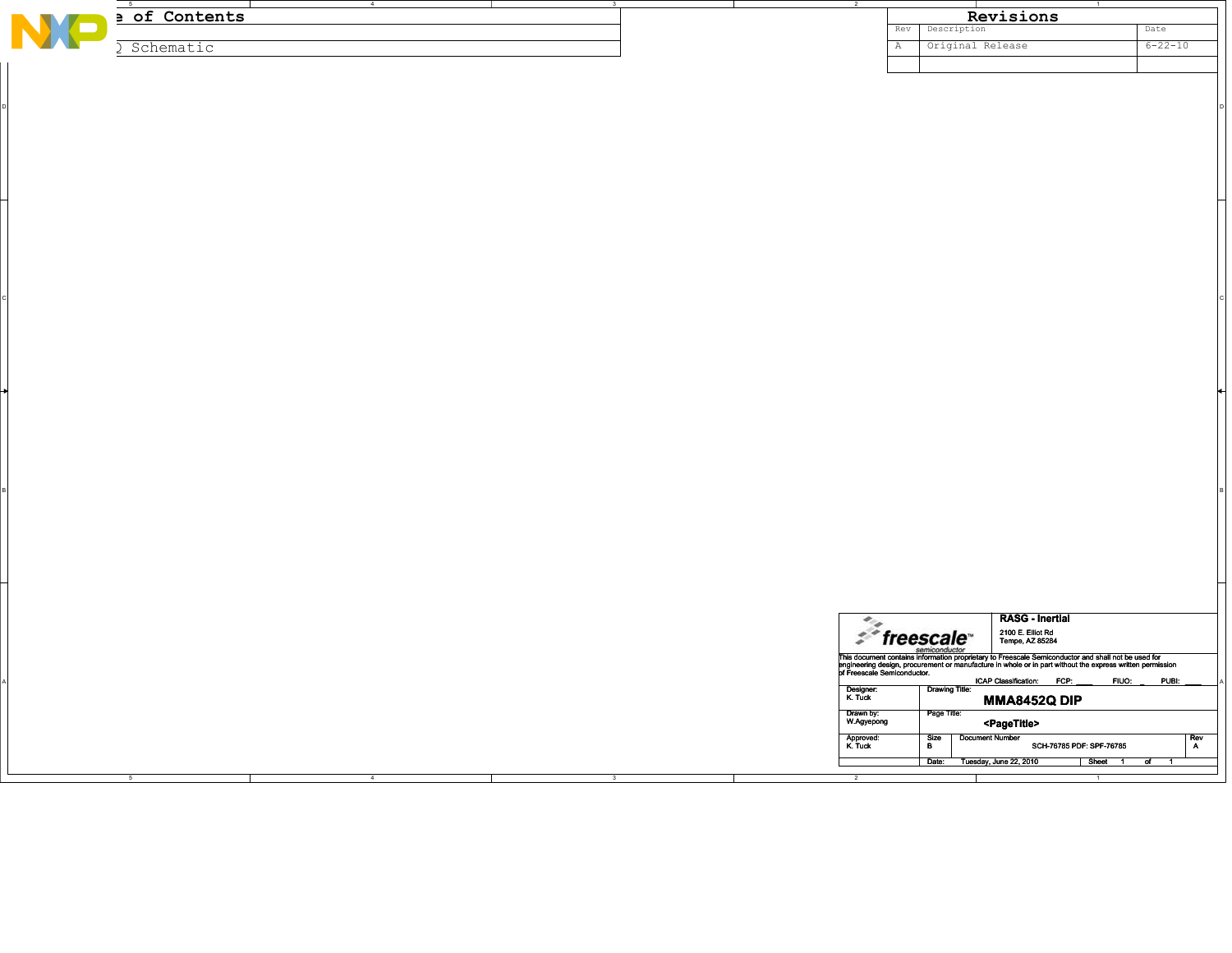|   | $-5$                        | $\overline{4}$ | $\overline{\mathbf{3}}$ |                         |                                                                                                                                                                                                                                      | $\overline{1}$ |
|---|-----------------------------|----------------|-------------------------|-------------------------|--------------------------------------------------------------------------------------------------------------------------------------------------------------------------------------------------------------------------------------|----------------|
| N | a of Contents               |                |                         |                         | Revisions                                                                                                                                                                                                                            |                |
|   |                             |                |                         |                         | Description<br>Rev                                                                                                                                                                                                                   | Date           |
|   |                             |                |                         |                         |                                                                                                                                                                                                                                      |                |
|   | Schematic<br>$\mathfrak{I}$ |                |                         |                         | Original Release<br>$\mathbb{A}$                                                                                                                                                                                                     | $6 - 22 - 10$  |
|   |                             |                |                         |                         |                                                                                                                                                                                                                                      |                |
|   |                             |                |                         |                         |                                                                                                                                                                                                                                      |                |
|   |                             |                |                         |                         |                                                                                                                                                                                                                                      |                |
|   |                             |                |                         |                         |                                                                                                                                                                                                                                      |                |
|   |                             |                |                         |                         |                                                                                                                                                                                                                                      |                |
|   |                             |                |                         |                         |                                                                                                                                                                                                                                      |                |
|   |                             |                |                         |                         |                                                                                                                                                                                                                                      |                |
|   |                             |                |                         |                         |                                                                                                                                                                                                                                      |                |
|   |                             |                |                         |                         |                                                                                                                                                                                                                                      |                |
|   |                             |                |                         |                         |                                                                                                                                                                                                                                      |                |
|   |                             |                |                         |                         |                                                                                                                                                                                                                                      |                |
|   |                             |                |                         |                         |                                                                                                                                                                                                                                      |                |
|   |                             |                |                         |                         |                                                                                                                                                                                                                                      |                |
|   |                             |                |                         |                         |                                                                                                                                                                                                                                      |                |
|   |                             |                |                         |                         |                                                                                                                                                                                                                                      |                |
|   |                             |                |                         |                         |                                                                                                                                                                                                                                      |                |
|   |                             |                |                         |                         |                                                                                                                                                                                                                                      |                |
|   |                             |                |                         |                         |                                                                                                                                                                                                                                      |                |
|   |                             |                |                         |                         |                                                                                                                                                                                                                                      |                |
|   |                             |                |                         |                         |                                                                                                                                                                                                                                      |                |
|   |                             |                |                         |                         |                                                                                                                                                                                                                                      |                |
|   |                             |                |                         |                         |                                                                                                                                                                                                                                      |                |
|   |                             |                |                         |                         |                                                                                                                                                                                                                                      |                |
|   |                             |                |                         |                         |                                                                                                                                                                                                                                      |                |
|   |                             |                |                         |                         |                                                                                                                                                                                                                                      |                |
|   |                             |                |                         |                         |                                                                                                                                                                                                                                      |                |
|   |                             |                |                         |                         |                                                                                                                                                                                                                                      |                |
|   |                             |                |                         |                         |                                                                                                                                                                                                                                      |                |
|   |                             |                |                         |                         |                                                                                                                                                                                                                                      |                |
|   |                             |                |                         |                         |                                                                                                                                                                                                                                      |                |
|   |                             |                |                         |                         |                                                                                                                                                                                                                                      |                |
|   |                             |                |                         |                         |                                                                                                                                                                                                                                      |                |
|   |                             |                |                         |                         |                                                                                                                                                                                                                                      |                |
|   |                             |                |                         |                         |                                                                                                                                                                                                                                      |                |
|   |                             |                |                         |                         |                                                                                                                                                                                                                                      |                |
|   |                             |                |                         |                         |                                                                                                                                                                                                                                      |                |
|   |                             |                |                         |                         |                                                                                                                                                                                                                                      |                |
|   |                             |                |                         |                         |                                                                                                                                                                                                                                      |                |
|   |                             |                |                         |                         |                                                                                                                                                                                                                                      |                |
|   |                             |                |                         |                         |                                                                                                                                                                                                                                      |                |
|   |                             |                |                         |                         |                                                                                                                                                                                                                                      |                |
|   |                             |                |                         |                         |                                                                                                                                                                                                                                      |                |
|   |                             |                |                         |                         |                                                                                                                                                                                                                                      |                |
|   |                             |                |                         |                         |                                                                                                                                                                                                                                      |                |
|   |                             |                |                         |                         |                                                                                                                                                                                                                                      |                |
|   |                             |                |                         |                         |                                                                                                                                                                                                                                      |                |
|   |                             |                |                         |                         |                                                                                                                                                                                                                                      |                |
|   |                             |                |                         |                         |                                                                                                                                                                                                                                      |                |
|   |                             |                |                         |                         |                                                                                                                                                                                                                                      |                |
|   |                             |                |                         |                         |                                                                                                                                                                                                                                      |                |
|   |                             |                |                         |                         |                                                                                                                                                                                                                                      |                |
|   |                             |                |                         |                         |                                                                                                                                                                                                                                      |                |
|   |                             |                |                         |                         |                                                                                                                                                                                                                                      |                |
|   |                             |                |                         |                         |                                                                                                                                                                                                                                      |                |
|   |                             |                |                         |                         |                                                                                                                                                                                                                                      |                |
|   |                             |                |                         |                         |                                                                                                                                                                                                                                      |                |
|   |                             |                |                         |                         | <b>RASG - Inertial</b>                                                                                                                                                                                                               |                |
|   |                             |                |                         |                         |                                                                                                                                                                                                                                      |                |
|   |                             |                |                         |                         | $\mathcal{F}$ freescale<br>2100 E. Elliot Rd<br>Tempe, AZ 85284                                                                                                                                                                      |                |
|   |                             |                |                         |                         | semiconductor                                                                                                                                                                                                                        |                |
|   |                             |                |                         |                         |                                                                                                                                                                                                                                      |                |
|   |                             |                |                         |                         | This document contains information proprietary to Freescale Semiconductor and shall not be used for<br>singlneering design, procurement or manufacture in whole or in part without the expression of Freescale Semiconductor.<br>pri |                |
|   |                             |                |                         |                         | ICAP Classification: FCP:                                                                                                                                                                                                            | FIUO:<br>PUBI: |
|   |                             |                |                         | Designer:<br>K. Tuck    | <b>Drawing Title:</b>                                                                                                                                                                                                                |                |
|   |                             |                |                         |                         | <b>MMA8452Q DIP</b>                                                                                                                                                                                                                  |                |
|   |                             |                |                         | Drawn by:<br>W.Agyepong | Page Title:                                                                                                                                                                                                                          |                |
|   |                             |                |                         |                         | <pagetitle></pagetitle>                                                                                                                                                                                                              |                |
|   |                             |                |                         |                         | <b>Document Number</b>                                                                                                                                                                                                               |                |
|   |                             |                |                         | Approved:<br>K. Tuck    | Size<br>B<br>SCH-76785 PDF: SPF-76785                                                                                                                                                                                                | Rev<br>A       |
|   |                             |                |                         |                         |                                                                                                                                                                                                                                      |                |
|   |                             |                |                         |                         | Date: Tuesday, June 22, 2010                                                                                                                                                                                                         | Sheet 1 of 1   |
|   |                             | $\overline{4}$ | $\overline{\mathbf{3}}$ |                         |                                                                                                                                                                                                                                      |                |
|   |                             |                |                         |                         |                                                                                                                                                                                                                                      |                |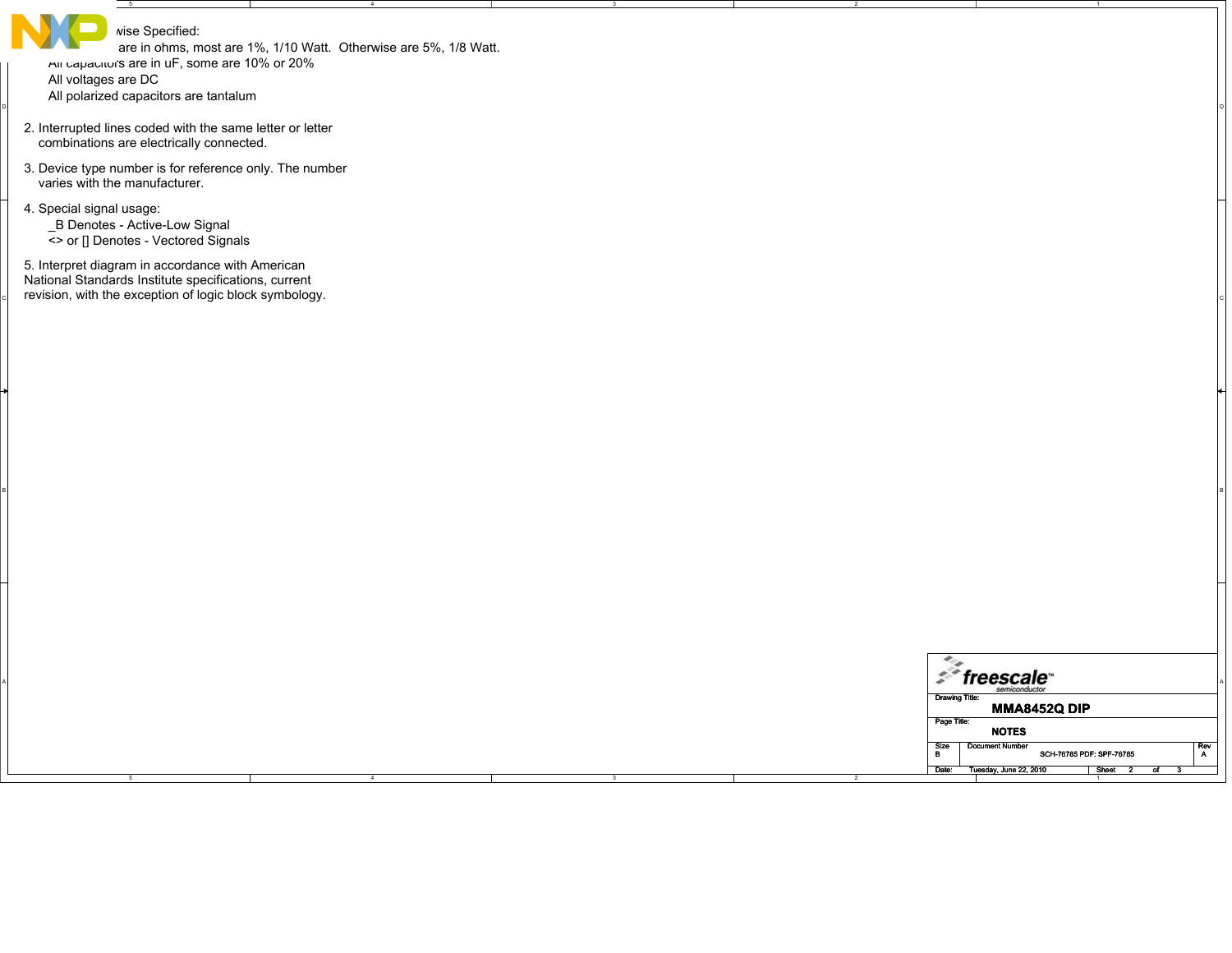| $-5$                                                                                                                                                               |                                                                  |  |                                                                                                |
|--------------------------------------------------------------------------------------------------------------------------------------------------------------------|------------------------------------------------------------------|--|------------------------------------------------------------------------------------------------|
| wise Specified:<br>All capacitor's are in uF, some are 10% or 20%<br>All voltages are DC<br>All polarized capacitors are tantalum                                  | are in ohms, most are 1%, 1/10 Watt. Otherwise are 5%, 1/8 Watt. |  |                                                                                                |
| 2. Interrupted lines coded with the same letter or letter<br>combinations are electrically connected.                                                              |                                                                  |  |                                                                                                |
| 3. Device type number is for reference only. The number<br>varies with the manufacturer.                                                                           |                                                                  |  |                                                                                                |
| 4. Special signal usage:<br>_B Denotes - Active-Low Signal<br><> or [] Denotes - Vectored Signals                                                                  |                                                                  |  |                                                                                                |
| 5. Interpret diagram in accordance with American<br>National Standards Institute specifications, current<br>revision, with the exception of logic block symbology. |                                                                  |  |                                                                                                |
|                                                                                                                                                                    |                                                                  |  |                                                                                                |
|                                                                                                                                                                    |                                                                  |  |                                                                                                |
|                                                                                                                                                                    |                                                                  |  |                                                                                                |
|                                                                                                                                                                    |                                                                  |  |                                                                                                |
|                                                                                                                                                                    |                                                                  |  |                                                                                                |
|                                                                                                                                                                    |                                                                  |  |                                                                                                |
|                                                                                                                                                                    |                                                                  |  | $\epsilon_{\alpha}$<br>$% \mathsf{freescale}^*$                                                |
|                                                                                                                                                                    |                                                                  |  | <b>Drawing Title:</b><br><b>MMA8452Q DIP</b><br>Page Title:                                    |
|                                                                                                                                                                    |                                                                  |  | <b>NOTES</b><br><b>Document Number</b><br>$R$ ev<br>A<br>Size<br>B<br>SCH-76785 PDF: SPF-76785 |
|                                                                                                                                                                    |                                                                  |  | Date:<br>Tuesday, June 22, 2010<br>Sheet<br>σf                                                 |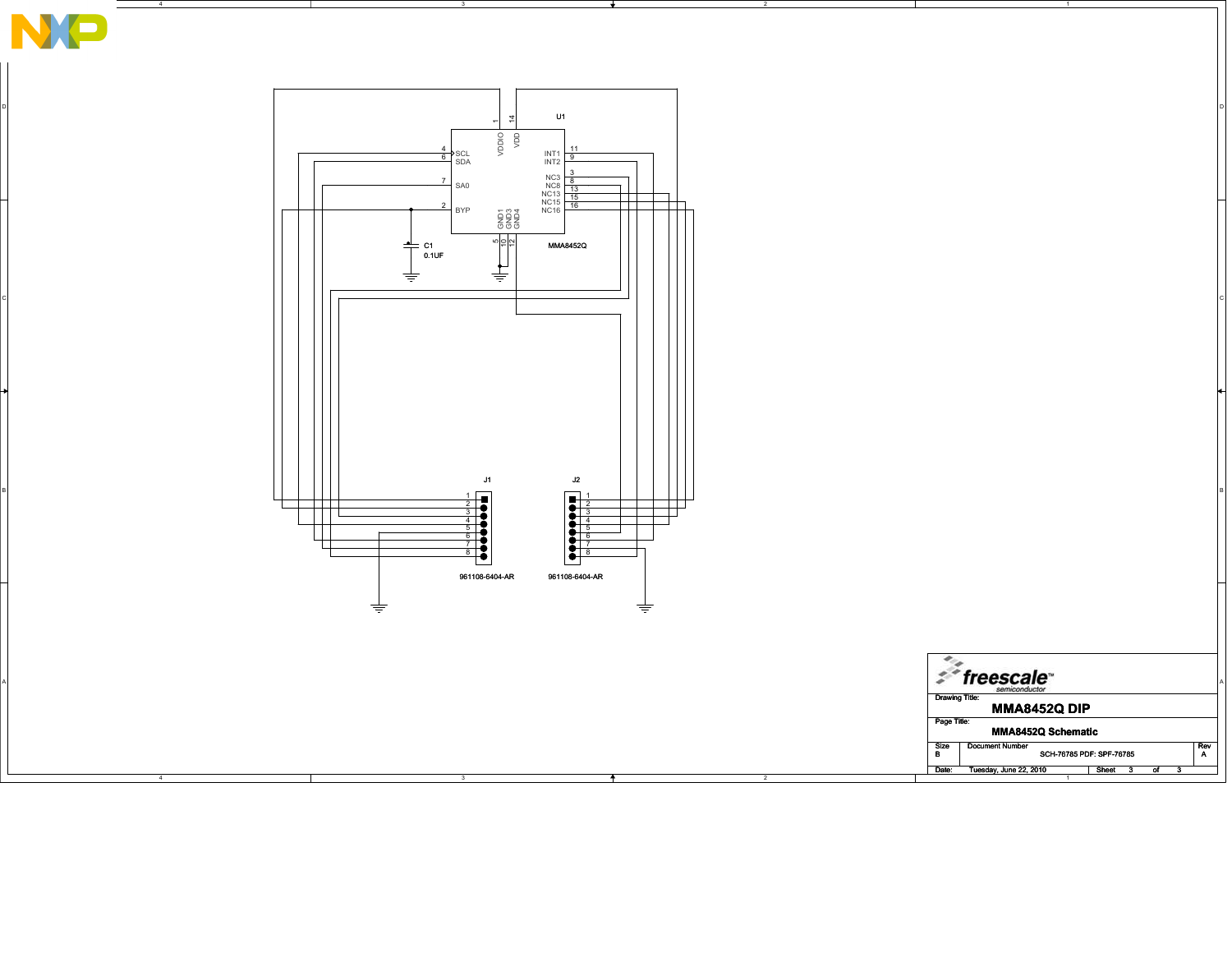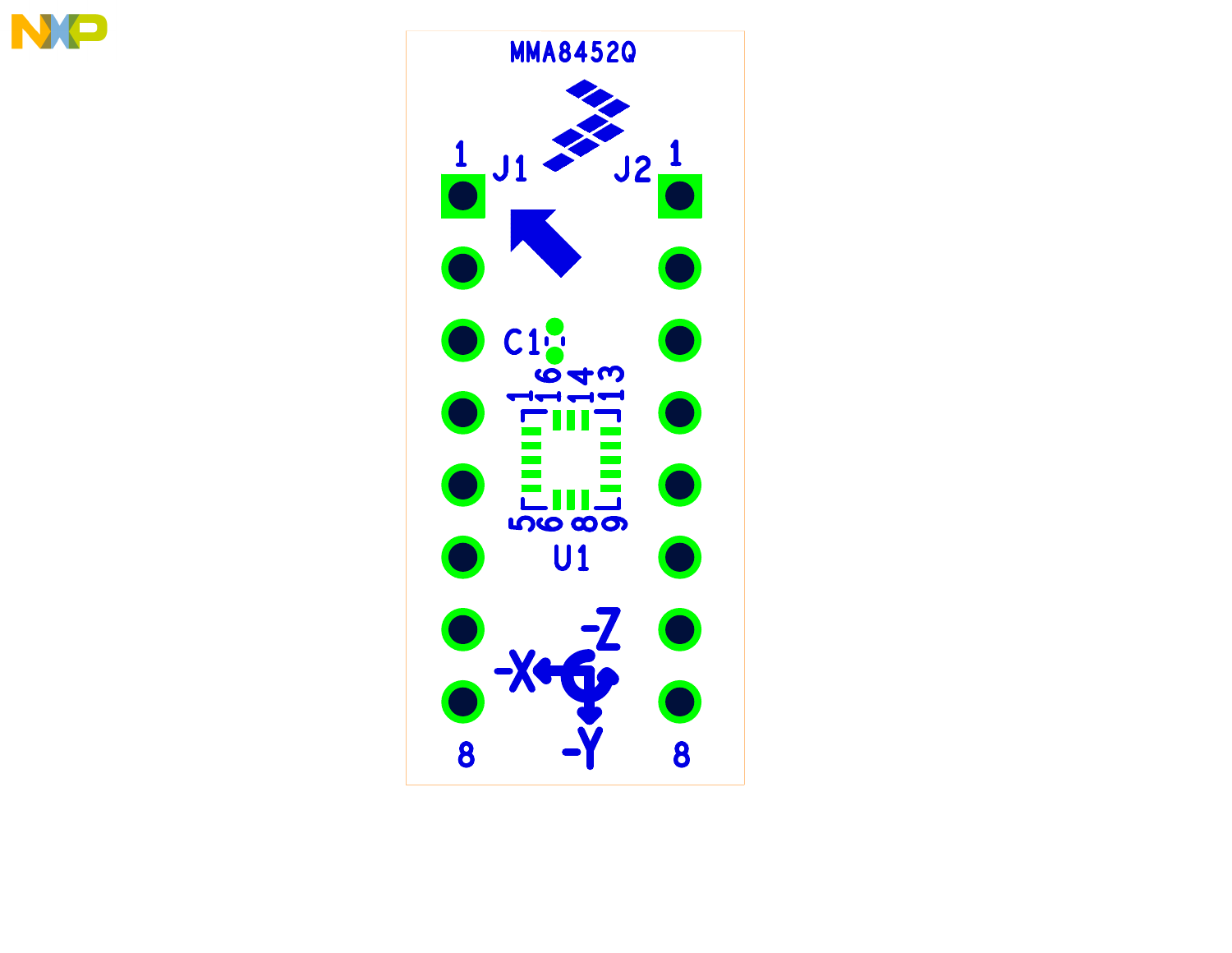

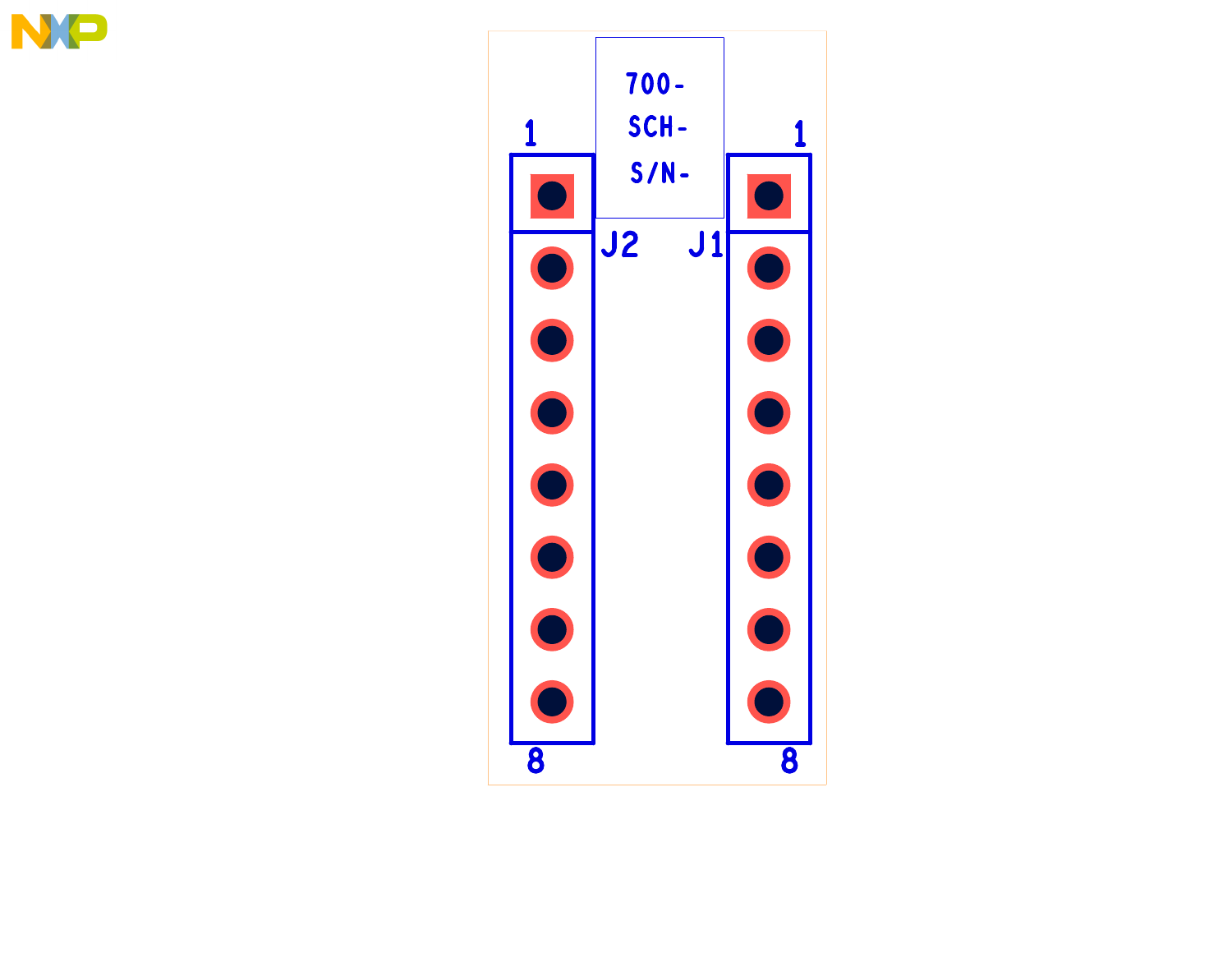

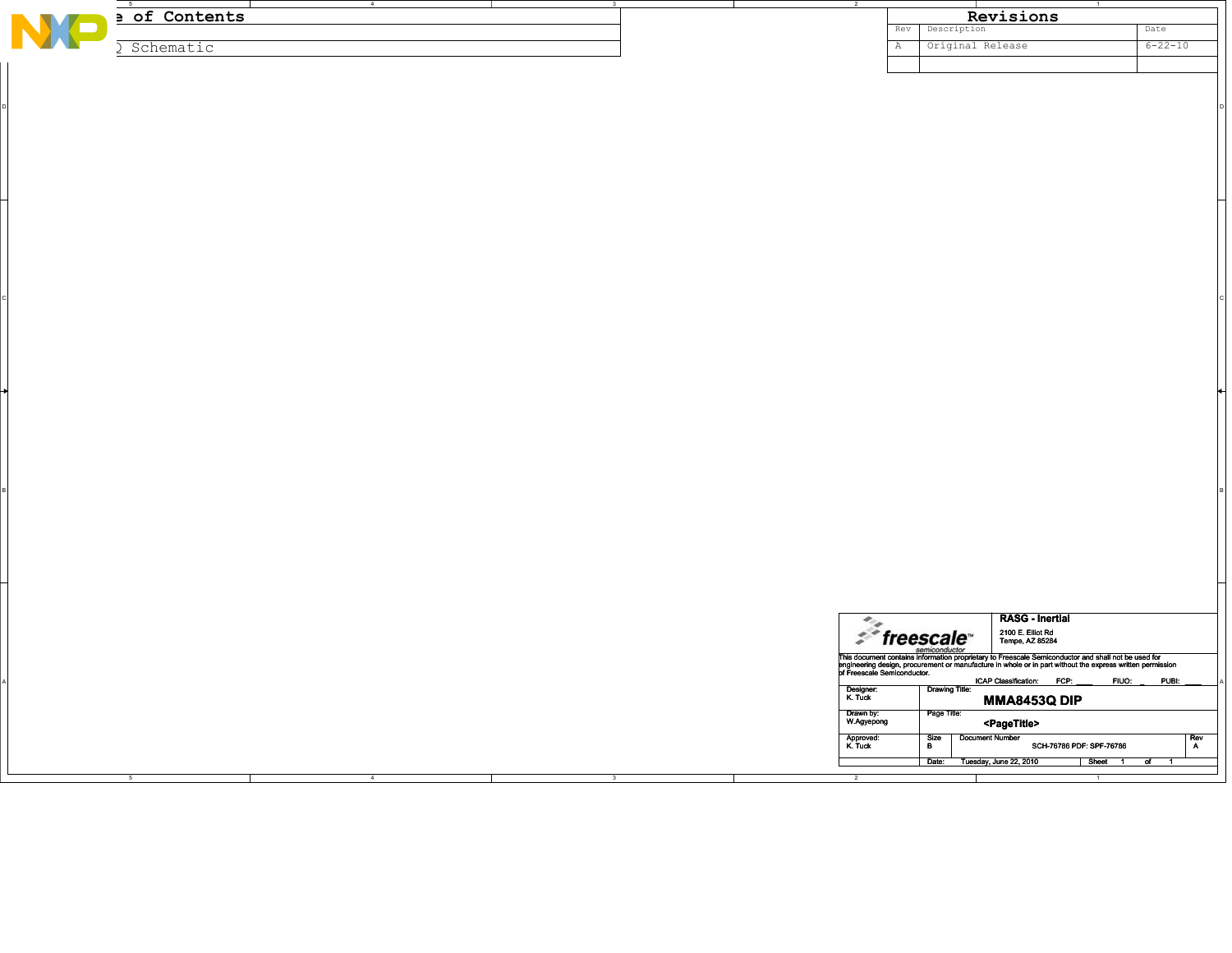|   | $-5$                        | $\sim$ $\sim$ $\sim$ $\sim$ $\sim$ $\sim$ $\sim$ | $\overline{\mathbf{3}}$ |                         |                                  | $\overline{1}$                                                                                                                                                                                                                       |               |
|---|-----------------------------|--------------------------------------------------|-------------------------|-------------------------|----------------------------------|--------------------------------------------------------------------------------------------------------------------------------------------------------------------------------------------------------------------------------------|---------------|
| N | a of Contents               |                                                  |                         |                         |                                  | Revisions                                                                                                                                                                                                                            |               |
|   |                             |                                                  |                         |                         | Description<br>Rev               |                                                                                                                                                                                                                                      | Date          |
|   |                             |                                                  |                         |                         |                                  |                                                                                                                                                                                                                                      |               |
|   | Schematic<br>$\mathfrak{I}$ |                                                  |                         |                         | Original Release<br>$\mathbb{A}$ |                                                                                                                                                                                                                                      | $6 - 22 - 10$ |
|   |                             |                                                  |                         |                         |                                  |                                                                                                                                                                                                                                      |               |
|   |                             |                                                  |                         |                         |                                  |                                                                                                                                                                                                                                      |               |
|   |                             |                                                  |                         |                         |                                  |                                                                                                                                                                                                                                      |               |
|   |                             |                                                  |                         |                         |                                  |                                                                                                                                                                                                                                      |               |
|   |                             |                                                  |                         |                         |                                  |                                                                                                                                                                                                                                      |               |
|   |                             |                                                  |                         |                         |                                  |                                                                                                                                                                                                                                      |               |
|   |                             |                                                  |                         |                         |                                  |                                                                                                                                                                                                                                      |               |
|   |                             |                                                  |                         |                         |                                  |                                                                                                                                                                                                                                      |               |
|   |                             |                                                  |                         |                         |                                  |                                                                                                                                                                                                                                      |               |
|   |                             |                                                  |                         |                         |                                  |                                                                                                                                                                                                                                      |               |
|   |                             |                                                  |                         |                         |                                  |                                                                                                                                                                                                                                      |               |
|   |                             |                                                  |                         |                         |                                  |                                                                                                                                                                                                                                      |               |
|   |                             |                                                  |                         |                         |                                  |                                                                                                                                                                                                                                      |               |
|   |                             |                                                  |                         |                         |                                  |                                                                                                                                                                                                                                      |               |
|   |                             |                                                  |                         |                         |                                  |                                                                                                                                                                                                                                      |               |
|   |                             |                                                  |                         |                         |                                  |                                                                                                                                                                                                                                      |               |
|   |                             |                                                  |                         |                         |                                  |                                                                                                                                                                                                                                      |               |
|   |                             |                                                  |                         |                         |                                  |                                                                                                                                                                                                                                      |               |
|   |                             |                                                  |                         |                         |                                  |                                                                                                                                                                                                                                      |               |
|   |                             |                                                  |                         |                         |                                  |                                                                                                                                                                                                                                      |               |
|   |                             |                                                  |                         |                         |                                  |                                                                                                                                                                                                                                      |               |
|   |                             |                                                  |                         |                         |                                  |                                                                                                                                                                                                                                      |               |
|   |                             |                                                  |                         |                         |                                  |                                                                                                                                                                                                                                      |               |
|   |                             |                                                  |                         |                         |                                  |                                                                                                                                                                                                                                      |               |
|   |                             |                                                  |                         |                         |                                  |                                                                                                                                                                                                                                      |               |
|   |                             |                                                  |                         |                         |                                  |                                                                                                                                                                                                                                      |               |
|   |                             |                                                  |                         |                         |                                  |                                                                                                                                                                                                                                      |               |
|   |                             |                                                  |                         |                         |                                  |                                                                                                                                                                                                                                      |               |
|   |                             |                                                  |                         |                         |                                  |                                                                                                                                                                                                                                      |               |
|   |                             |                                                  |                         |                         |                                  |                                                                                                                                                                                                                                      |               |
|   |                             |                                                  |                         |                         |                                  |                                                                                                                                                                                                                                      |               |
|   |                             |                                                  |                         |                         |                                  |                                                                                                                                                                                                                                      |               |
|   |                             |                                                  |                         |                         |                                  |                                                                                                                                                                                                                                      |               |
|   |                             |                                                  |                         |                         |                                  |                                                                                                                                                                                                                                      |               |
|   |                             |                                                  |                         |                         |                                  |                                                                                                                                                                                                                                      |               |
|   |                             |                                                  |                         |                         |                                  |                                                                                                                                                                                                                                      |               |
|   |                             |                                                  |                         |                         |                                  |                                                                                                                                                                                                                                      |               |
|   |                             |                                                  |                         |                         |                                  |                                                                                                                                                                                                                                      |               |
|   |                             |                                                  |                         |                         |                                  |                                                                                                                                                                                                                                      |               |
|   |                             |                                                  |                         |                         |                                  |                                                                                                                                                                                                                                      |               |
|   |                             |                                                  |                         |                         |                                  |                                                                                                                                                                                                                                      |               |
|   |                             |                                                  |                         |                         |                                  |                                                                                                                                                                                                                                      |               |
|   |                             |                                                  |                         |                         |                                  |                                                                                                                                                                                                                                      |               |
|   |                             |                                                  |                         |                         |                                  |                                                                                                                                                                                                                                      |               |
|   |                             |                                                  |                         |                         |                                  |                                                                                                                                                                                                                                      |               |
|   |                             |                                                  |                         |                         |                                  |                                                                                                                                                                                                                                      |               |
|   |                             |                                                  |                         |                         |                                  |                                                                                                                                                                                                                                      |               |
|   |                             |                                                  |                         |                         |                                  |                                                                                                                                                                                                                                      |               |
|   |                             |                                                  |                         |                         |                                  |                                                                                                                                                                                                                                      |               |
|   |                             |                                                  |                         |                         |                                  |                                                                                                                                                                                                                                      |               |
|   |                             |                                                  |                         |                         |                                  |                                                                                                                                                                                                                                      |               |
|   |                             |                                                  |                         |                         |                                  |                                                                                                                                                                                                                                      |               |
|   |                             |                                                  |                         |                         |                                  |                                                                                                                                                                                                                                      |               |
|   |                             |                                                  |                         |                         |                                  |                                                                                                                                                                                                                                      |               |
|   |                             |                                                  |                         |                         |                                  |                                                                                                                                                                                                                                      |               |
|   |                             |                                                  |                         |                         |                                  |                                                                                                                                                                                                                                      |               |
|   |                             |                                                  |                         |                         |                                  | <b>RASG - Inertial</b>                                                                                                                                                                                                               |               |
|   |                             |                                                  |                         |                         |                                  |                                                                                                                                                                                                                                      |               |
|   |                             |                                                  |                         |                         | $\mathcal{F}$ freescale          | 2100 E. Elliot Rd<br>Tempe, AZ 85284                                                                                                                                                                                                 |               |
|   |                             |                                                  |                         |                         | semiconductor                    |                                                                                                                                                                                                                                      |               |
|   |                             |                                                  |                         |                         |                                  |                                                                                                                                                                                                                                      |               |
|   |                             |                                                  |                         |                         |                                  | This document contains information proprietary to Freescale Semiconductor and shall not be used for<br>singlneering design, procurement or manufacture in whole or in part without the expression of Freescale Semiconductor.<br>pri |               |
|   |                             |                                                  |                         |                         |                                  | ICAP Classification: FCP:<br>FIUO:                                                                                                                                                                                                   | PUBI:         |
|   |                             |                                                  |                         | Designer:<br>K. Tuck    | <b>Drawing Title:</b>            |                                                                                                                                                                                                                                      |               |
|   |                             |                                                  |                         |                         |                                  | <b>MMA8453Q DIP</b>                                                                                                                                                                                                                  |               |
|   |                             |                                                  |                         |                         | Page Title:                      |                                                                                                                                                                                                                                      |               |
|   |                             |                                                  |                         | Drawn by:<br>W.Agyepong |                                  | <pagetitle></pagetitle>                                                                                                                                                                                                              |               |
|   |                             |                                                  |                         |                         | <b>Document Number</b>           |                                                                                                                                                                                                                                      |               |
|   |                             |                                                  |                         | Approved:<br>K. Tuck    | Size<br>B                        | SCH-76786 PDF: SPF-76786                                                                                                                                                                                                             | Rev<br>A      |
|   |                             |                                                  |                         |                         |                                  |                                                                                                                                                                                                                                      |               |
|   |                             |                                                  |                         |                         | Date: Tuesday, June 22, 2010     | Sheet 1 of 1                                                                                                                                                                                                                         |               |
|   |                             | $\overline{4}$                                   | $\overline{\mathbf{3}}$ |                         |                                  |                                                                                                                                                                                                                                      |               |
|   |                             |                                                  |                         |                         |                                  |                                                                                                                                                                                                                                      |               |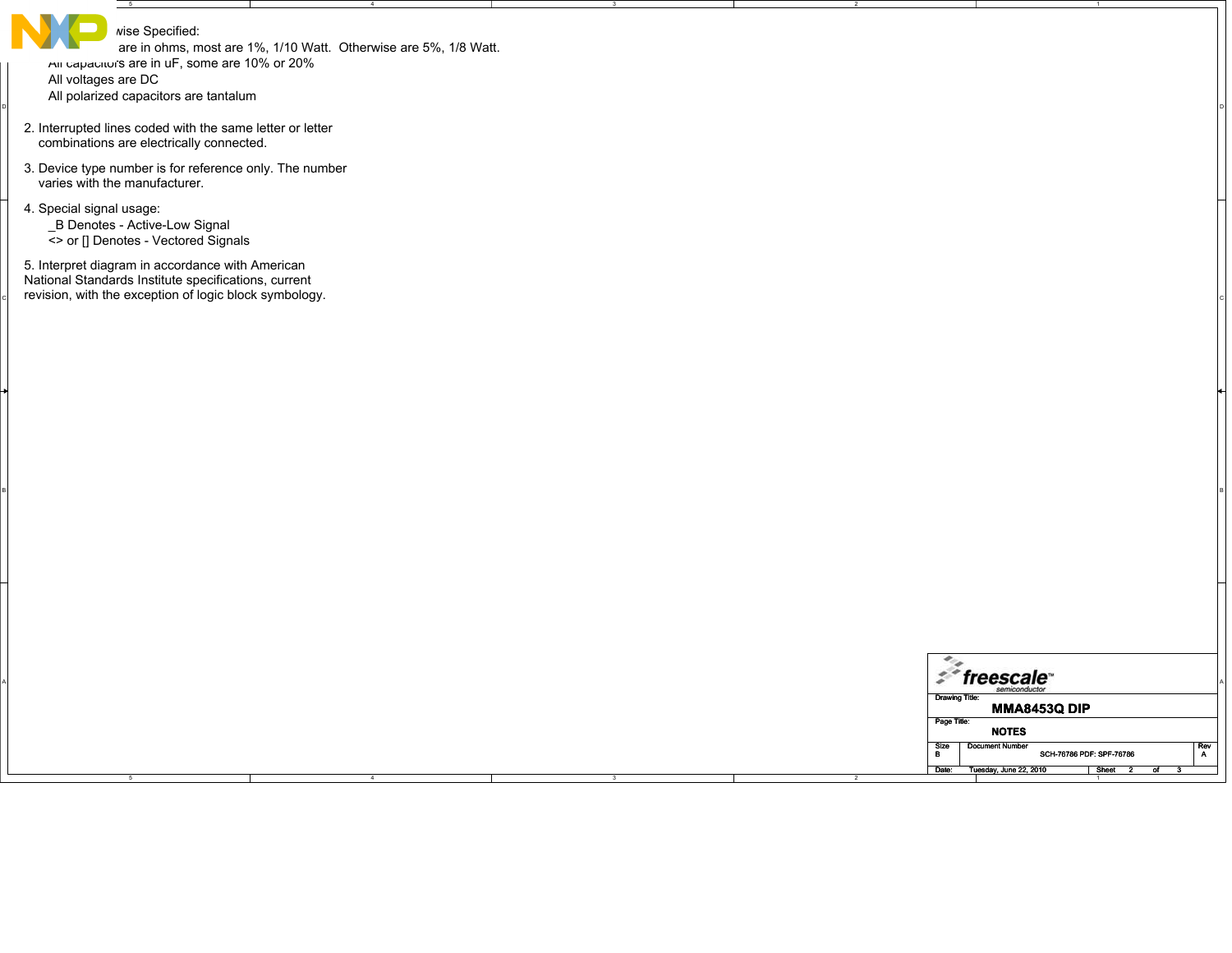| $-5$                                                                                                                                                               |                                                                  |  |                       |                                                                              |                            |
|--------------------------------------------------------------------------------------------------------------------------------------------------------------------|------------------------------------------------------------------|--|-----------------------|------------------------------------------------------------------------------|----------------------------|
| wise Specified:<br>All capacitor's are in uF, some are 10% or 20%<br>All voltages are DC<br>All polarized capacitors are tantalum                                  | are in ohms, most are 1%, 1/10 Watt. Otherwise are 5%, 1/8 Watt. |  |                       |                                                                              |                            |
| 2. Interrupted lines coded with the same letter or letter<br>combinations are electrically connected.                                                              |                                                                  |  |                       |                                                                              |                            |
| 3. Device type number is for reference only. The number<br>varies with the manufacturer.                                                                           |                                                                  |  |                       |                                                                              |                            |
| 4. Special signal usage:<br>_B Denotes - Active-Low Signal<br><> or [] Denotes - Vectored Signals                                                                  |                                                                  |  |                       |                                                                              |                            |
| 5. Interpret diagram in accordance with American<br>National Standards Institute specifications, current<br>revision, with the exception of logic block symbology. |                                                                  |  |                       |                                                                              |                            |
|                                                                                                                                                                    |                                                                  |  |                       |                                                                              |                            |
|                                                                                                                                                                    |                                                                  |  |                       |                                                                              |                            |
|                                                                                                                                                                    |                                                                  |  |                       |                                                                              |                            |
|                                                                                                                                                                    |                                                                  |  |                       |                                                                              |                            |
|                                                                                                                                                                    |                                                                  |  |                       |                                                                              |                            |
|                                                                                                                                                                    |                                                                  |  |                       |                                                                              |                            |
|                                                                                                                                                                    |                                                                  |  |                       |                                                                              |                            |
|                                                                                                                                                                    |                                                                  |  | $\epsilon_{\alpha}$   |                                                                              |                            |
|                                                                                                                                                                    |                                                                  |  | <b>Drawing Title:</b> | $z^*$ freescale                                                              |                            |
|                                                                                                                                                                    |                                                                  |  | Page Title:           | <b>MMA8453Q DIP</b><br><b>NOTES</b>                                          |                            |
|                                                                                                                                                                    |                                                                  |  | Size<br>B<br>Date:    | <b>Document Number</b><br>SCH-76786 PDF: SPF-76786<br>Tuesday, June 22, 2010 | $R$ ev<br>A<br>Sheet<br>σf |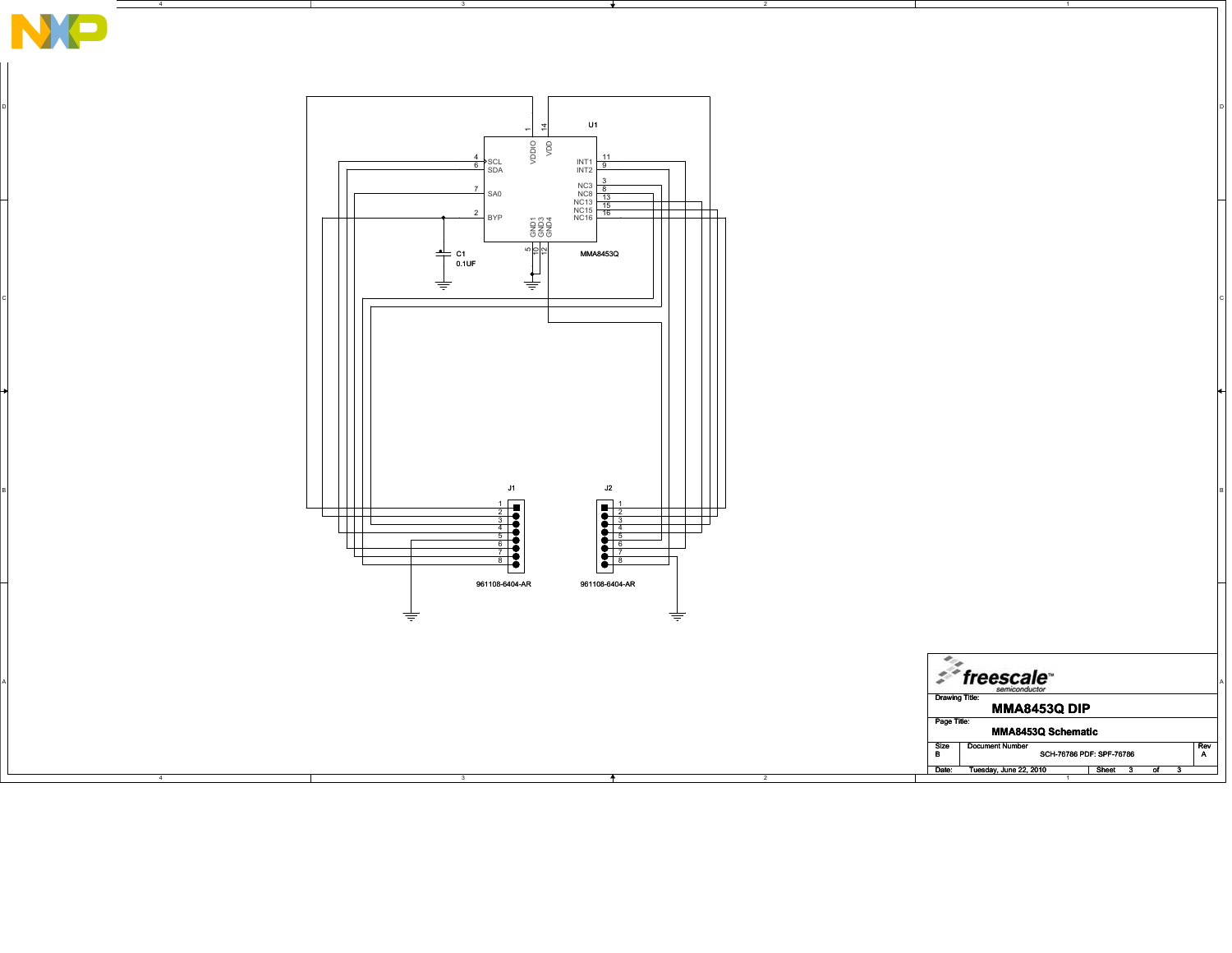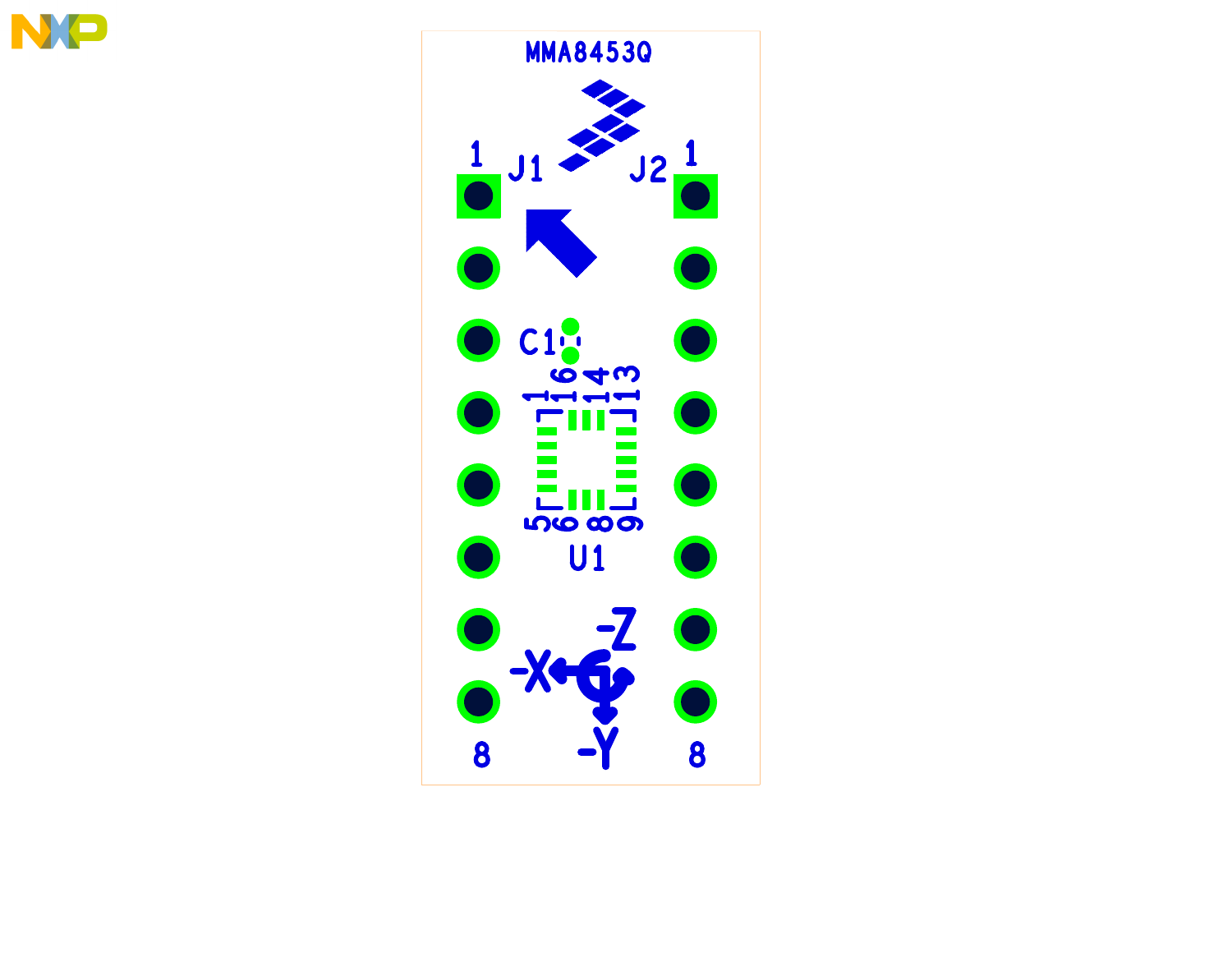